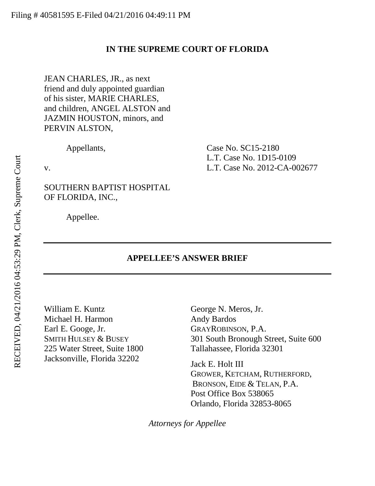#### **IN THE SUPREME COURT OF FLORIDA**

JEAN CHARLES, JR., as next friend and duly appointed guardian of his sister, MARIE CHARLES, and children, ANGEL ALSTON and JAZMIN HOUSTON, minors, and PERVIN ALSTON,

Appellants, Case No. SC15-2180 L.T. Case No. 1D15-0109 v. L.T. Case No. 2012-CA-002677

SOUTHERN BAPTIST HOSPITAL OF FLORIDA, INC.,

Appellee.

#### **APPELLEE'S ANSWER BRIEF**

William E. Kuntz Michael H. Harmon Earl E. Googe, Jr. SMITH HULSEY & BUSEY 225 Water Street, Suite 1800 Jacksonville, Florida 32202

George N. Meros, Jr. Andy Bardos GRAYROBINSON, P.A. 301 South Bronough Street, Suite 600 Tallahassee, Florida 32301

Jack E. Holt III GROWER, KETCHAM, RUTHERFORD, BRONSON, EIDE & TELAN, P.A. Post Office Box 538065 Orlando, Florida 32853-8065

*Attorneys for Appellee*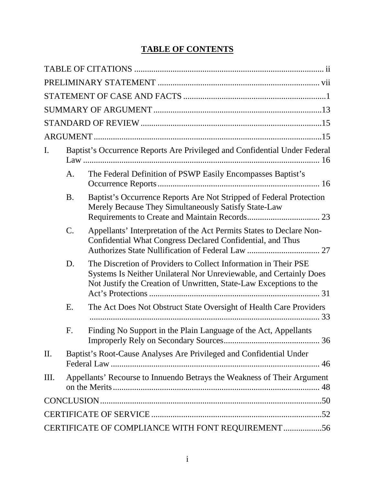# **TABLE OF CONTENTS**

| I.  | Baptist's Occurrence Reports Are Privileged and Confidential Under Federal |                                                                                                                                                                                                             |
|-----|----------------------------------------------------------------------------|-------------------------------------------------------------------------------------------------------------------------------------------------------------------------------------------------------------|
|     | A.                                                                         | The Federal Definition of PSWP Easily Encompasses Baptist's                                                                                                                                                 |
|     | <b>B.</b>                                                                  | Baptist's Occurrence Reports Are Not Stripped of Federal Protection<br>Merely Because They Simultaneously Satisfy State-Law                                                                                 |
|     | $\mathcal{C}.$                                                             | Appellants' Interpretation of the Act Permits States to Declare Non-<br>Confidential What Congress Declared Confidential, and Thus                                                                          |
|     | D.                                                                         | The Discretion of Providers to Collect Information in Their PSE<br>Systems Is Neither Unilateral Nor Unreviewable, and Certainly Does<br>Not Justify the Creation of Unwritten, State-Law Exceptions to the |
|     | Ε.                                                                         | The Act Does Not Obstruct State Oversight of Health Care Providers                                                                                                                                          |
|     | F.                                                                         | Finding No Support in the Plain Language of the Act, Appellants                                                                                                                                             |
| II. |                                                                            | Baptist's Root-Cause Analyses Are Privileged and Confidential Under                                                                                                                                         |
| Ш.  |                                                                            | Appellants' Recourse to Innuendo Betrays the Weakness of Their Argument                                                                                                                                     |
|     |                                                                            |                                                                                                                                                                                                             |
|     |                                                                            |                                                                                                                                                                                                             |
|     |                                                                            | CERTIFICATE OF COMPLIANCE WITH FONT REQUIREMENT56                                                                                                                                                           |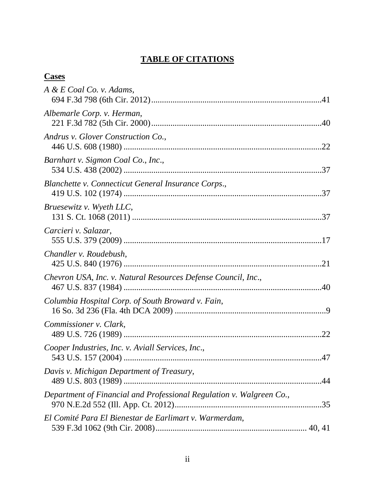# <span id="page-2-0"></span>**TABLE OF CITATIONS**

# **Cases**

| $A \& E \quad$ <i>Coal</i> $Co. v.$ Adams,                           |  |
|----------------------------------------------------------------------|--|
| Albemarle Corp. v. Herman,                                           |  |
| Andrus v. Glover Construction Co.,                                   |  |
| Barnhart v. Sigmon Coal Co., Inc.,                                   |  |
| Blanchette v. Connecticut General Insurance Corps.,                  |  |
| Bruesewitz v. Wyeth LLC,                                             |  |
| Carcieri v. Salazar,                                                 |  |
| Chandler v. Roudebush,                                               |  |
| Chevron USA, Inc. v. Natural Resources Defense Council, Inc.,        |  |
| Columbia Hospital Corp. of South Broward v. Fain,                    |  |
| Commissioner v. Clark,                                               |  |
| Cooper Industries, Inc. v. Aviall Services, Inc.,                    |  |
| Davis v. Michigan Department of Treasury,                            |  |
| Department of Financial and Professional Regulation v. Walgreen Co., |  |
| El Comité Para El Bienestar de Earlimart v. Warmerdam,               |  |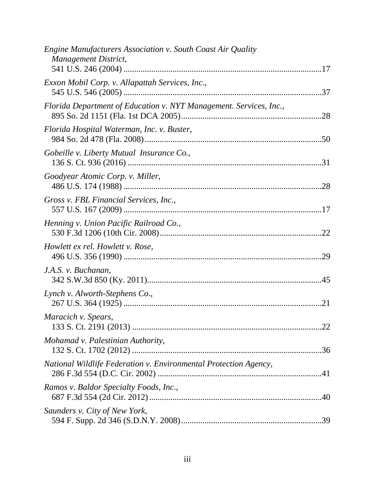| Engine Manufacturers Association v. South Coast Air Quality<br><b>Management District,</b> |     |
|--------------------------------------------------------------------------------------------|-----|
| Exxon Mobil Corp. v. Allapattah Services, Inc.,                                            |     |
| Florida Department of Education v. NYT Management. Services, Inc.,                         |     |
| Florida Hospital Waterman, Inc. v. Buster,                                                 |     |
| Gobeille v. Liberty Mutual Insurance Co.,                                                  |     |
| Goodyear Atomic Corp. v. Miller,                                                           |     |
| Gross v. FBL Financial Services, Inc.,                                                     |     |
| Henning v. Union Pacific Railroad Co.,                                                     |     |
| <i>Howlett ex rel. Howlett v. Rose,</i>                                                    | .29 |
| J.A.S. v. Buchanan,                                                                        |     |
| Lynch v. Alworth-Stephens Co.,                                                             |     |
| Maracich v. Spears,                                                                        |     |
| Mohamad v. Palestinian Authority,                                                          |     |
| National Wildlife Federation v. Environmental Protection Agency,                           |     |
| Ramos v. Baldor Specialty Foods, Inc.,                                                     |     |
| Saunders v. City of New York,                                                              |     |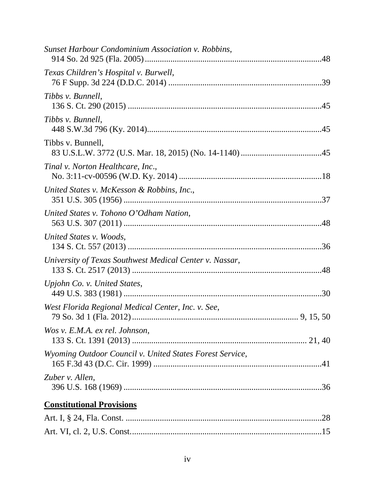| Sunset Harbour Condominium Association v. Robbins,       |
|----------------------------------------------------------|
| Texas Children's Hospital v. Burwell,                    |
| Tibbs v. Bunnell,                                        |
| Tibbs v. Bunnell,                                        |
| Tibbs v. Bunnell,                                        |
| Tinal v. Norton Healthcare, Inc.,                        |
| United States v. McKesson & Robbins, Inc.,               |
| United States v. Tohono O'Odham Nation,                  |
| United States v. Woods,                                  |
| University of Texas Southwest Medical Center v. Nassar,  |
| Upjohn Co. v. United States,                             |
| West Florida Regional Medical Center, Inc. v. See,       |
| Wos v. E.M.A. ex rel. Johnson,                           |
| Wyoming Outdoor Council v. United States Forest Service, |
| Zuber v. Allen,                                          |
| <b>Constitutional Provisions</b>                         |
|                                                          |
|                                                          |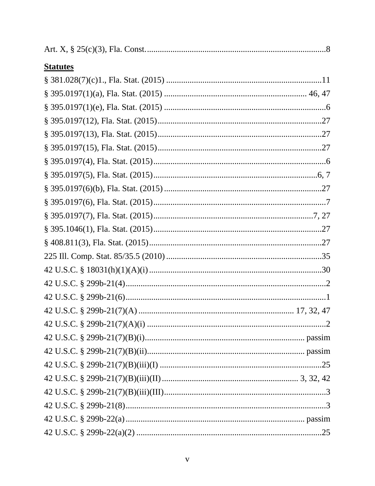| <b>Statutes</b> |  |
|-----------------|--|
|                 |  |
|                 |  |
|                 |  |
|                 |  |
|                 |  |
|                 |  |
|                 |  |
|                 |  |
|                 |  |
|                 |  |
|                 |  |
|                 |  |
|                 |  |
|                 |  |
|                 |  |
|                 |  |
|                 |  |
|                 |  |
|                 |  |
|                 |  |
|                 |  |
|                 |  |
|                 |  |
|                 |  |
|                 |  |
|                 |  |
|                 |  |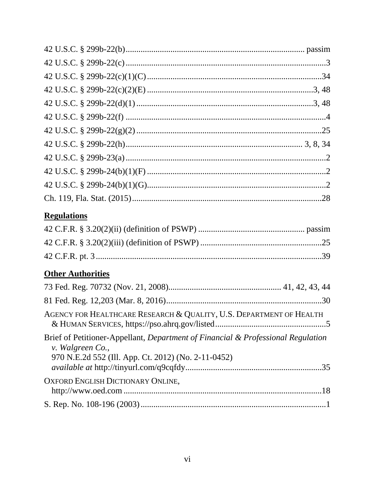| <b>Regulations</b>                                                                                                                                          |
|-------------------------------------------------------------------------------------------------------------------------------------------------------------|
|                                                                                                                                                             |
|                                                                                                                                                             |
|                                                                                                                                                             |
| <b>Other Authorities</b>                                                                                                                                    |
|                                                                                                                                                             |
|                                                                                                                                                             |
| AGENCY FOR HEALTHCARE RESEARCH & QUALITY, U.S. DEPARTMENT OF HEALTH                                                                                         |
| Brief of Petitioner-Appellant, Department of Financial & Professional Regulation<br>v. Walgreen Co.,<br>970 N.E.2d 552 (Ill. App. Ct. 2012) (No. 2-11-0452) |
| <b>OXFORD ENGLISH DICTIONARY ONLINE,</b>                                                                                                                    |
|                                                                                                                                                             |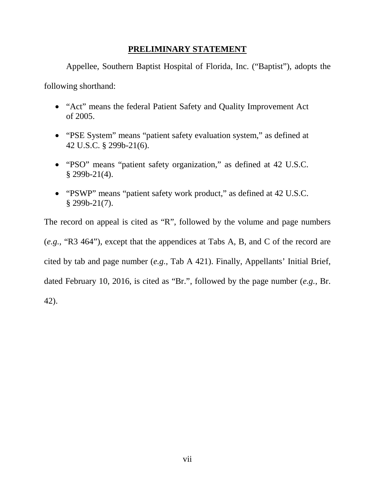### <span id="page-7-0"></span>**PRELIMINARY STATEMENT**

Appellee, Southern Baptist Hospital of Florida, Inc. ("Baptist"), adopts the

following shorthand:

- "Act" means the federal Patient Safety and Quality Improvement Act of 2005.
- "PSE System" means "patient safety evaluation system," as defined at 42 U.S.C. § 299b-21(6).
- "PSO" means "patient safety organization," as defined at 42 U.S.C.  $§$  299b-21(4).
- "PSWP" means "patient safety work product," as defined at 42 U.S.C. § 299b-21(7).

The record on appeal is cited as "R", followed by the volume and page numbers (*e.g.*, "R3 464"), except that the appendices at Tabs A, B, and C of the record are cited by tab and page number (*e.g.*, Tab A 421). Finally, Appellants' Initial Brief, dated February 10, 2016, is cited as "Br.", followed by the page number (*e.g.*, Br. 42).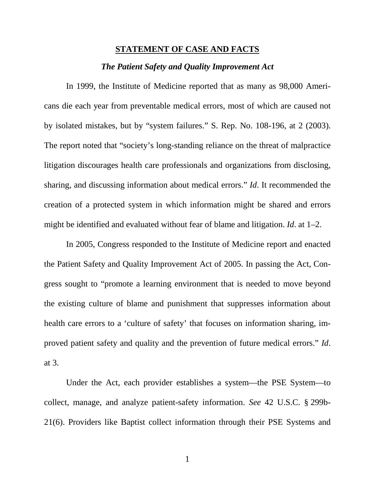#### <span id="page-8-0"></span>**STATEMENT OF CASE AND FACTS**

#### *The Patient Safety and Quality Improvement Act*

In 1999, the Institute of Medicine reported that as many as 98,000 Americans die each year from preventable medical errors, most of which are caused not by isolated mistakes, but by "system failures." S. Rep. No. 108-196, at 2 (2003). The report noted that "society's long-standing reliance on the threat of malpractice litigation discourages health care professionals and organizations from disclosing, sharing, and discussing information about medical errors." *Id*. It recommended the creation of a protected system in which information might be shared and errors might be identified and evaluated without fear of blame and litigation. *Id*. at 1–2.

In 2005, Congress responded to the Institute of Medicine report and enacted the Patient Safety and Quality Improvement Act of 2005. In passing the Act, Congress sought to "promote a learning environment that is needed to move beyond the existing culture of blame and punishment that suppresses information about health care errors to a 'culture of safety' that focuses on information sharing, improved patient safety and quality and the prevention of future medical errors." *Id*. at 3.

Under the Act, each provider establishes a system—the PSE System—to collect, manage, and analyze patient-safety information. *See* 42 U.S.C. § 299b-21(6). Providers like Baptist collect information through their PSE Systems and

1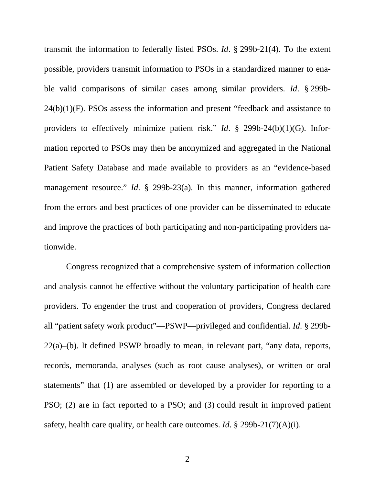transmit the information to federally listed PSOs. *Id*. § 299b-21(4). To the extent possible, providers transmit information to PSOs in a standardized manner to enable valid comparisons of similar cases among similar providers. *Id*. § 299b-24(b)(1)(F). PSOs assess the information and present "feedback and assistance to providers to effectively minimize patient risk." *Id*. § 299b-24(b)(1)(G). Information reported to PSOs may then be anonymized and aggregated in the National Patient Safety Database and made available to providers as an "evidence-based management resource." *Id*. § 299b-23(a). In this manner, information gathered from the errors and best practices of one provider can be disseminated to educate and improve the practices of both participating and non-participating providers nationwide.

Congress recognized that a comprehensive system of information collection and analysis cannot be effective without the voluntary participation of health care providers. To engender the trust and cooperation of providers, Congress declared all "patient safety work product"—PSWP—privileged and confidential. *Id*. § 299b- $22(a)$ –(b). It defined PSWP broadly to mean, in relevant part, "any data, reports, records, memoranda, analyses (such as root cause analyses), or written or oral statements" that (1) are assembled or developed by a provider for reporting to a PSO; (2) are in fact reported to a PSO; and (3) could result in improved patient safety, health care quality, or health care outcomes. *Id*. § 299b-21(7)(A)(i).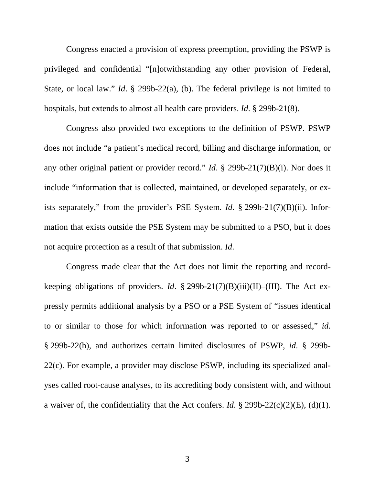Congress enacted a provision of express preemption, providing the PSWP is privileged and confidential "[n]otwithstanding any other provision of Federal, State, or local law." *Id*. § 299b-22(a), (b). The federal privilege is not limited to hospitals, but extends to almost all health care providers. *Id*. § 299b-21(8).

Congress also provided two exceptions to the definition of PSWP. PSWP does not include "a patient's medical record, billing and discharge information, or any other original patient or provider record." *Id*. § 299b-21(7)(B)(i). Nor does it include "information that is collected, maintained, or developed separately, or exists separately," from the provider's PSE System. *Id*. § 299b-21(7)(B)(ii). Information that exists outside the PSE System may be submitted to a PSO, but it does not acquire protection as a result of that submission. *Id*.

Congress made clear that the Act does not limit the reporting and recordkeeping obligations of providers. *Id*. § 299b-21(7)(B)(iii)(II)–(III). The Act expressly permits additional analysis by a PSO or a PSE System of "issues identical to or similar to those for which information was reported to or assessed," *id*. § 299b-22(h), and authorizes certain limited disclosures of PSWP, *id*. § 299b-22(c). For example, a provider may disclose PSWP, including its specialized analyses called root-cause analyses, to its accrediting body consistent with, and without a waiver of, the confidentiality that the Act confers. *Id*. § 299b-22(c)(2)(E), (d)(1).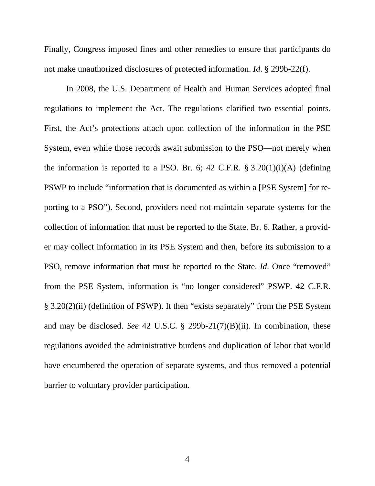Finally, Congress imposed fines and other remedies to ensure that participants do not make unauthorized disclosures of protected information. *Id*. § 299b-22(f).

In 2008, the U.S. Department of Health and Human Services adopted final regulations to implement the Act. The regulations clarified two essential points. First, the Act's protections attach upon collection of the information in the PSE System, even while those records await submission to the PSO—not merely when the information is reported to a PSO. Br. 6; 42 C.F.R.  $\S 3.20(1)(i)(A)$  (defining PSWP to include "information that is documented as within a [PSE System] for reporting to a PSO"). Second, providers need not maintain separate systems for the collection of information that must be reported to the State. Br. 6. Rather, a provider may collect information in its PSE System and then, before its submission to a PSO, remove information that must be reported to the State. *Id*. Once "removed" from the PSE System, information is "no longer considered" PSWP. 42 C.F.R. § 3.20(2)(ii) (definition of PSWP). It then "exists separately" from the PSE System and may be disclosed. *See* 42 U.S.C. § 299b-21(7)(B)(ii). In combination, these regulations avoided the administrative burdens and duplication of labor that would have encumbered the operation of separate systems, and thus removed a potential barrier to voluntary provider participation.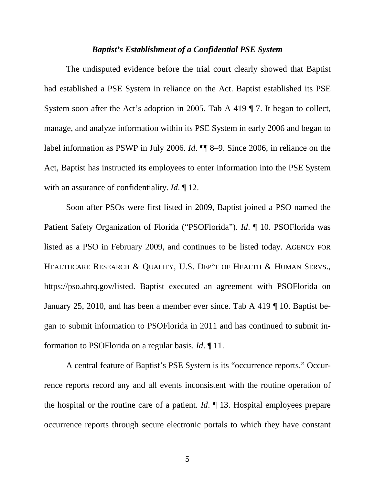#### *Baptist's Establishment of a Confidential PSE System*

The undisputed evidence before the trial court clearly showed that Baptist had established a PSE System in reliance on the Act. Baptist established its PSE System soon after the Act's adoption in 2005. Tab A 419 ¶ 7. It began to collect, manage, and analyze information within its PSE System in early 2006 and began to label information as PSWP in July 2006. *Id*. ¶¶ 8–9. Since 2006, in reliance on the Act, Baptist has instructed its employees to enter information into the PSE System with an assurance of confidentiality. *Id*. ¶ 12.

Soon after PSOs were first listed in 2009, Baptist joined a PSO named the Patient Safety Organization of Florida ("PSOFlorida"). *Id*. ¶ 10. PSOFlorida was listed as a PSO in February 2009, and continues to be listed today. AGENCY FOR HEALTHCARE RESEARCH & QUALITY, U.S. DEP'T OF HEALTH & HUMAN SERVS., https://pso.ahrq.gov/listed. Baptist executed an agreement with PSOFlorida on January 25, 2010, and has been a member ever since. Tab A 419 ¶ 10. Baptist began to submit information to PSOFlorida in 2011 and has continued to submit information to PSOFlorida on a regular basis. *Id*. ¶ 11.

A central feature of Baptist's PSE System is its "occurrence reports." Occurrence reports record any and all events inconsistent with the routine operation of the hospital or the routine care of a patient. *Id*. ¶ 13. Hospital employees prepare occurrence reports through secure electronic portals to which they have constant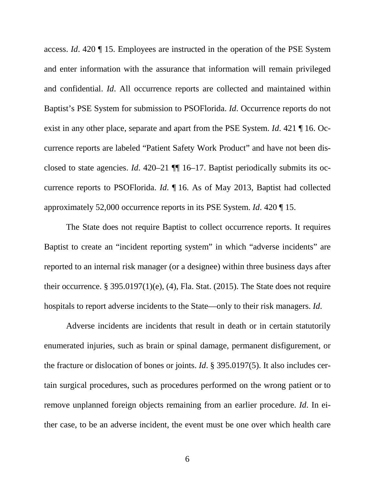access. *Id*. 420 ¶ 15. Employees are instructed in the operation of the PSE System and enter information with the assurance that information will remain privileged and confidential. *Id*. All occurrence reports are collected and maintained within Baptist's PSE System for submission to PSOFlorida. *Id*. Occurrence reports do not exist in any other place, separate and apart from the PSE System. *Id*. 421 ¶ 16. Occurrence reports are labeled "Patient Safety Work Product" and have not been disclosed to state agencies. *Id*. 420–21 ¶¶ 16–17. Baptist periodically submits its occurrence reports to PSOFlorida. *Id*. ¶ 16. As of May 2013, Baptist had collected approximately 52,000 occurrence reports in its PSE System. *Id*. 420 ¶ 15.

The State does not require Baptist to collect occurrence reports. It requires Baptist to create an "incident reporting system" in which "adverse incidents" are reported to an internal risk manager (or a designee) within three business days after their occurrence. § 395.0197 $(1)(e)$ ,  $(4)$ , Fla. Stat.  $(2015)$ . The State does not require hospitals to report adverse incidents to the State—only to their risk managers. *Id*.

Adverse incidents are incidents that result in death or in certain statutorily enumerated injuries, such as brain or spinal damage, permanent disfigurement, or the fracture or dislocation of bones or joints. *Id*. § 395.0197(5). It also includes certain surgical procedures, such as procedures performed on the wrong patient or to remove unplanned foreign objects remaining from an earlier procedure. *Id*. In either case, to be an adverse incident, the event must be one over which health care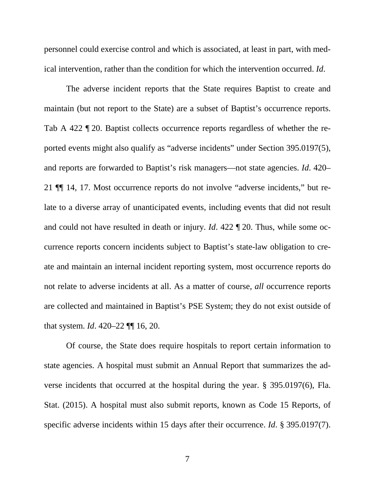personnel could exercise control and which is associated, at least in part, with medical intervention, rather than the condition for which the intervention occurred. *Id*.

The adverse incident reports that the State requires Baptist to create and maintain (but not report to the State) are a subset of Baptist's occurrence reports. Tab A 422 ¶ 20. Baptist collects occurrence reports regardless of whether the reported events might also qualify as "adverse incidents" under Section 395.0197(5), and reports are forwarded to Baptist's risk managers—not state agencies. *Id*. 420– 21 ¶¶ 14, 17. Most occurrence reports do not involve "adverse incidents," but relate to a diverse array of unanticipated events, including events that did not result and could not have resulted in death or injury. *Id*. 422 ¶ 20. Thus, while some occurrence reports concern incidents subject to Baptist's state-law obligation to create and maintain an internal incident reporting system, most occurrence reports do not relate to adverse incidents at all. As a matter of course, *all* occurrence reports are collected and maintained in Baptist's PSE System; they do not exist outside of that system. *Id*. 420–22 ¶¶ 16, 20.

Of course, the State does require hospitals to report certain information to state agencies. A hospital must submit an Annual Report that summarizes the adverse incidents that occurred at the hospital during the year. § 395.0197(6), Fla. Stat. (2015). A hospital must also submit reports, known as Code 15 Reports, of specific adverse incidents within 15 days after their occurrence. *Id*. § 395.0197(7).

7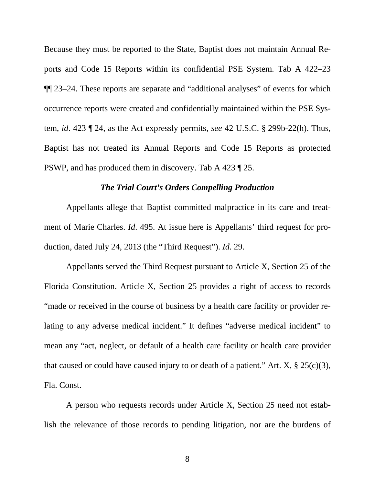Because they must be reported to the State, Baptist does not maintain Annual Reports and Code 15 Reports within its confidential PSE System. Tab A 422–23 ¶¶ 23–24. These reports are separate and "additional analyses" of events for which occurrence reports were created and confidentially maintained within the PSE System, *id*. 423 ¶ 24, as the Act expressly permits, *see* 42 U.S.C. § 299b-22(h). Thus, Baptist has not treated its Annual Reports and Code 15 Reports as protected PSWP, and has produced them in discovery. Tab A 423 ¶ 25.

#### *The Trial Court's Orders Compelling Production*

Appellants allege that Baptist committed malpractice in its care and treatment of Marie Charles. *Id*. 495. At issue here is Appellants' third request for production, dated July 24, 2013 (the "Third Request"). *Id*. 29.

Appellants served the Third Request pursuant to Article X, Section 25 of the Florida Constitution. Article X, Section 25 provides a right of access to records "made or received in the course of business by a health care facility or provider relating to any adverse medical incident." It defines "adverse medical incident" to mean any "act, neglect, or default of a health care facility or health care provider that caused or could have caused injury to or death of a patient." Art.  $X$ ,  $\S$  25(c)(3), Fla. Const.

A person who requests records under Article X, Section 25 need not establish the relevance of those records to pending litigation, nor are the burdens of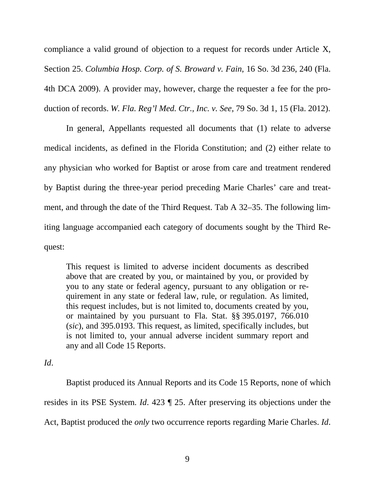compliance a valid ground of objection to a request for records under Article X, Section 25. *Columbia Hosp. Corp. of S. Broward v. Fain*, 16 So. 3d 236, 240 (Fla. 4th DCA 2009). A provider may, however, charge the requester a fee for the production of records. *W. Fla. Reg'l Med. Ctr.*, *Inc. v. See*, 79 So. 3d 1, 15 (Fla. 2012).

In general, Appellants requested all documents that (1) relate to adverse medical incidents, as defined in the Florida Constitution; and (2) either relate to any physician who worked for Baptist or arose from care and treatment rendered by Baptist during the three-year period preceding Marie Charles' care and treatment, and through the date of the Third Request. Tab A 32–35. The following limiting language accompanied each category of documents sought by the Third Request:

This request is limited to adverse incident documents as described above that are created by you, or maintained by you, or provided by you to any state or federal agency, pursuant to any obligation or requirement in any state or federal law, rule, or regulation. As limited, this request includes, but is not limited to, documents created by you, or maintained by you pursuant to Fla. Stat. §§ 395.0197, 766.010 (*sic*), and 395.0193. This request, as limited, specifically includes, but is not limited to, your annual adverse incident summary report and any and all Code 15 Reports.

#### *Id*.

Baptist produced its Annual Reports and its Code 15 Reports, none of which resides in its PSE System. *Id*. 423 ¶ 25. After preserving its objections under the Act, Baptist produced the *only* two occurrence reports regarding Marie Charles. *Id*.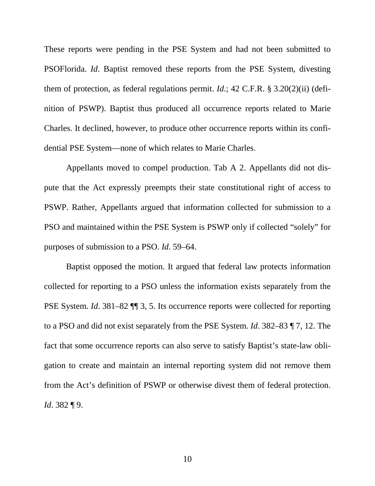These reports were pending in the PSE System and had not been submitted to PSOFlorida. *Id*. Baptist removed these reports from the PSE System, divesting them of protection, as federal regulations permit. *Id*.; 42 C.F.R. § 3.20(2)(ii) (definition of PSWP). Baptist thus produced all occurrence reports related to Marie Charles. It declined, however, to produce other occurrence reports within its confidential PSE System—none of which relates to Marie Charles.

Appellants moved to compel production. Tab A 2. Appellants did not dispute that the Act expressly preempts their state constitutional right of access to PSWP. Rather, Appellants argued that information collected for submission to a PSO and maintained within the PSE System is PSWP only if collected "solely" for purposes of submission to a PSO. *Id*. 59–64.

Baptist opposed the motion. It argued that federal law protects information collected for reporting to a PSO unless the information exists separately from the PSE System. *Id*. 381–82 ¶¶ 3, 5. Its occurrence reports were collected for reporting to a PSO and did not exist separately from the PSE System. *Id*. 382–83 ¶ 7, 12. The fact that some occurrence reports can also serve to satisfy Baptist's state-law obligation to create and maintain an internal reporting system did not remove them from the Act's definition of PSWP or otherwise divest them of federal protection. *Id*. 382 ¶ 9.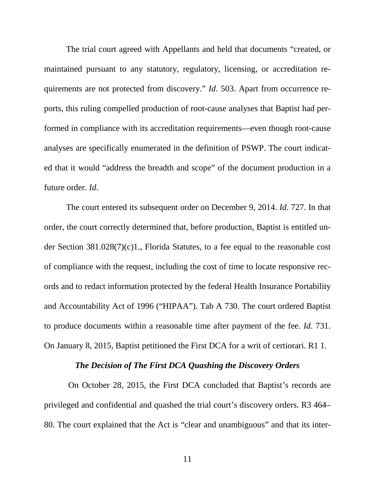The trial court agreed with Appellants and held that documents "created, or maintained pursuant to any statutory, regulatory, licensing, or accreditation requirements are not protected from discovery." *Id*. 503. Apart from occurrence reports, this ruling compelled production of root-cause analyses that Baptist had performed in compliance with its accreditation requirements—even though root-cause analyses are specifically enumerated in the definition of PSWP. The court indicated that it would "address the breadth and scope" of the document production in a future order. *Id*.

The court entered its subsequent order on December 9, 2014. *Id*. 727. In that order, the court correctly determined that, before production, Baptist is entitled under Section 381.028(7)(c)1., Florida Statutes, to a fee equal to the reasonable cost of compliance with the request, including the cost of time to locate responsive records and to redact information protected by the federal Health Insurance Portability and Accountability Act of 1996 ("HIPAA"). Tab A 730. The court ordered Baptist to produce documents within a reasonable time after payment of the fee. *Id*. 731. On January 8, 2015, Baptist petitioned the First DCA for a writ of certiorari. R1 1.

### *The Decision of The First DCA Quashing the Discovery Orders*

On October 28, 2015, the First DCA concluded that Baptist's records are privileged and confidential and quashed the trial court's discovery orders. R3 464– 80. The court explained that the Act is "clear and unambiguous" and that its inter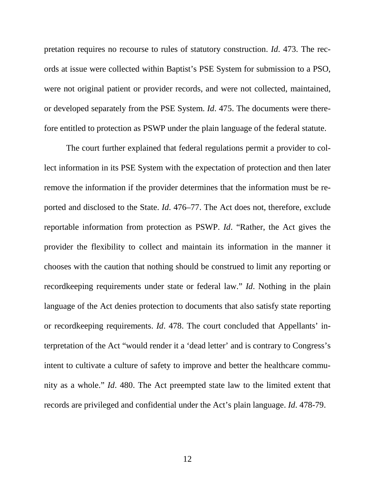pretation requires no recourse to rules of statutory construction. *Id*. 473. The records at issue were collected within Baptist's PSE System for submission to a PSO, were not original patient or provider records, and were not collected, maintained, or developed separately from the PSE System. *Id*. 475. The documents were therefore entitled to protection as PSWP under the plain language of the federal statute.

The court further explained that federal regulations permit a provider to collect information in its PSE System with the expectation of protection and then later remove the information if the provider determines that the information must be reported and disclosed to the State. *Id*. 476–77. The Act does not, therefore, exclude reportable information from protection as PSWP. *Id*. "Rather, the Act gives the provider the flexibility to collect and maintain its information in the manner it chooses with the caution that nothing should be construed to limit any reporting or recordkeeping requirements under state or federal law." *Id*. Nothing in the plain language of the Act denies protection to documents that also satisfy state reporting or recordkeeping requirements. *Id*. 478. The court concluded that Appellants' interpretation of the Act "would render it a 'dead letter' and is contrary to Congress's intent to cultivate a culture of safety to improve and better the healthcare community as a whole." *Id*. 480. The Act preempted state law to the limited extent that records are privileged and confidential under the Act's plain language. *Id*. 478-79.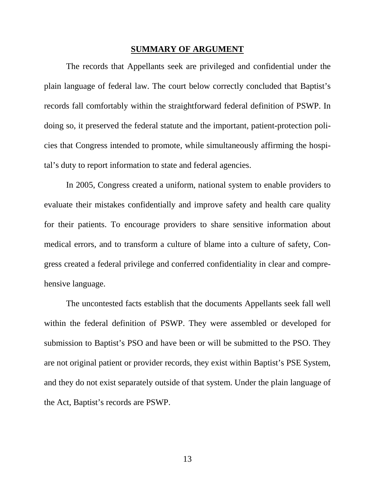#### <span id="page-20-0"></span>**SUMMARY OF ARGUMENT**

The records that Appellants seek are privileged and confidential under the plain language of federal law. The court below correctly concluded that Baptist's records fall comfortably within the straightforward federal definition of PSWP. In doing so, it preserved the federal statute and the important, patient-protection policies that Congress intended to promote, while simultaneously affirming the hospital's duty to report information to state and federal agencies.

In 2005, Congress created a uniform, national system to enable providers to evaluate their mistakes confidentially and improve safety and health care quality for their patients. To encourage providers to share sensitive information about medical errors, and to transform a culture of blame into a culture of safety, Congress created a federal privilege and conferred confidentiality in clear and comprehensive language.

The uncontested facts establish that the documents Appellants seek fall well within the federal definition of PSWP. They were assembled or developed for submission to Baptist's PSO and have been or will be submitted to the PSO. They are not original patient or provider records, they exist within Baptist's PSE System, and they do not exist separately outside of that system. Under the plain language of the Act, Baptist's records are PSWP.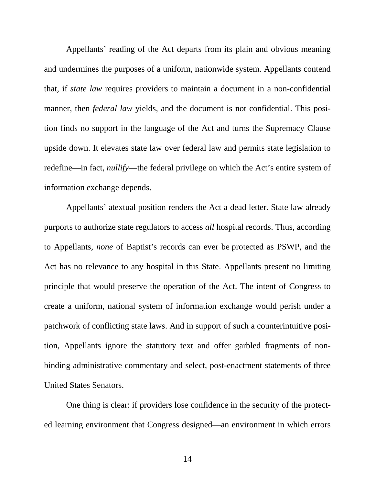Appellants' reading of the Act departs from its plain and obvious meaning and undermines the purposes of a uniform, nationwide system. Appellants contend that, if *state law* requires providers to maintain a document in a non-confidential manner, then *federal law* yields, and the document is not confidential. This position finds no support in the language of the Act and turns the Supremacy Clause upside down. It elevates state law over federal law and permits state legislation to redefine—in fact, *nullify*—the federal privilege on which the Act's entire system of information exchange depends.

Appellants' atextual position renders the Act a dead letter. State law already purports to authorize state regulators to access *all* hospital records. Thus, according to Appellants, *none* of Baptist's records can ever be protected as PSWP, and the Act has no relevance to any hospital in this State. Appellants present no limiting principle that would preserve the operation of the Act. The intent of Congress to create a uniform, national system of information exchange would perish under a patchwork of conflicting state laws. And in support of such a counterintuitive position, Appellants ignore the statutory text and offer garbled fragments of nonbinding administrative commentary and select, post-enactment statements of three United States Senators.

One thing is clear: if providers lose confidence in the security of the protected learning environment that Congress designed—an environment in which errors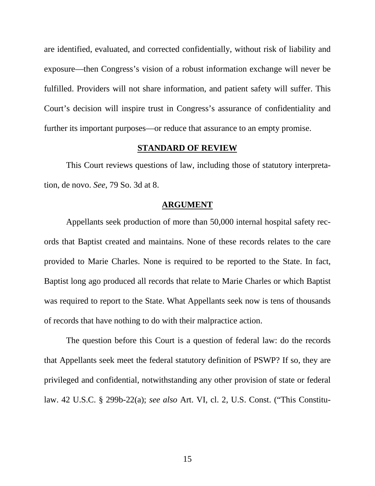are identified, evaluated, and corrected confidentially, without risk of liability and exposure—then Congress's vision of a robust information exchange will never be fulfilled. Providers will not share information, and patient safety will suffer. This Court's decision will inspire trust in Congress's assurance of confidentiality and further its important purposes—or reduce that assurance to an empty promise.

#### <span id="page-22-0"></span>**STANDARD OF REVIEW**

This Court reviews questions of law, including those of statutory interpretation, de novo. *See*, 79 So. 3d at 8.

#### <span id="page-22-1"></span>**ARGUMENT**

Appellants seek production of more than 50,000 internal hospital safety records that Baptist created and maintains. None of these records relates to the care provided to Marie Charles. None is required to be reported to the State. In fact, Baptist long ago produced all records that relate to Marie Charles or which Baptist was required to report to the State. What Appellants seek now is tens of thousands of records that have nothing to do with their malpractice action.

The question before this Court is a question of federal law: do the records that Appellants seek meet the federal statutory definition of PSWP? If so, they are privileged and confidential, notwithstanding any other provision of state or federal law. 42 U.S.C. § 299b-22(a); *see also* Art. VI, cl. 2, U.S. Const. ("This Constitu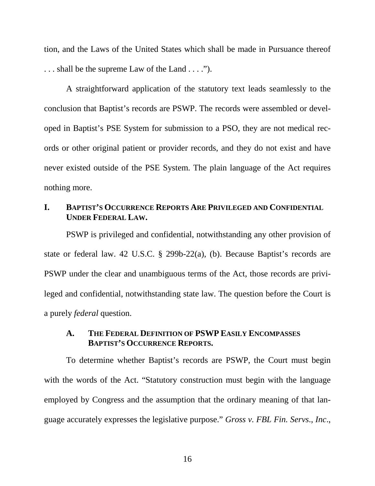tion, and the Laws of the United States which shall be made in Pursuance thereof . . . shall be the supreme Law of the Land . . . .").

A straightforward application of the statutory text leads seamlessly to the conclusion that Baptist's records are PSWP. The records were assembled or developed in Baptist's PSE System for submission to a PSO, they are not medical records or other original patient or provider records, and they do not exist and have never existed outside of the PSE System. The plain language of the Act requires nothing more.

### <span id="page-23-0"></span>**I. BAPTIST'S OCCURRENCE REPORTS ARE PRIVILEGED AND CONFIDENTIAL UNDER FEDERAL LAW.**

PSWP is privileged and confidential, notwithstanding any other provision of state or federal law. 42 U.S.C. § 299b-22(a), (b). Because Baptist's records are PSWP under the clear and unambiguous terms of the Act, those records are privileged and confidential, notwithstanding state law. The question before the Court is a purely *federal* question.

### <span id="page-23-1"></span>**A. THE FEDERAL DEFINITION OF PSWP EASILY ENCOMPASSES BAPTIST'S OCCURRENCE REPORTS.**

To determine whether Baptist's records are PSWP, the Court must begin with the words of the Act. "Statutory construction must begin with the language employed by Congress and the assumption that the ordinary meaning of that language accurately expresses the legislative purpose." *Gross v. FBL Fin. Servs*., *Inc*.,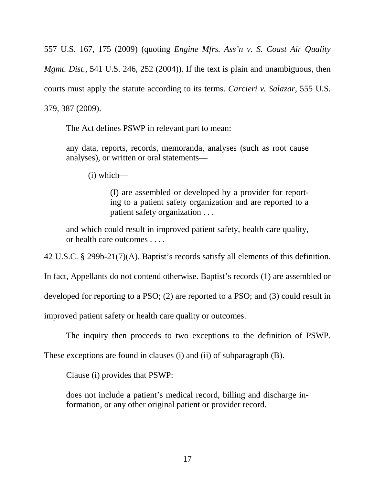557 U.S. 167, 175 (2009) (quoting *Engine Mfrs. Ass'n v. S. Coast Air Quality Mgmt. Dist.*, 541 U.S. 246, 252 (2004)). If the text is plain and unambiguous, then courts must apply the statute according to its terms. *Carcieri v. Salazar*, 555 U.S. 379, 387 (2009).

The Act defines PSWP in relevant part to mean:

any data, reports, records, memoranda, analyses (such as root cause analyses), or written or oral statements—

(i) which—

(I) are assembled or developed by a provider for reporting to a patient safety organization and are reported to a patient safety organization . . .

and which could result in improved patient safety, health care quality, or health care outcomes . . . .

42 U.S.C. § 299b-21(7)(A). Baptist's records satisfy all elements of this definition.

In fact, Appellants do not contend otherwise. Baptist's records (1) are assembled or

developed for reporting to a PSO; (2) are reported to a PSO; and (3) could result in

improved patient safety or health care quality or outcomes.

The inquiry then proceeds to two exceptions to the definition of PSWP.

These exceptions are found in clauses (i) and (ii) of subparagraph (B).

Clause (i) provides that PSWP:

does not include a patient's medical record, billing and discharge information, or any other original patient or provider record.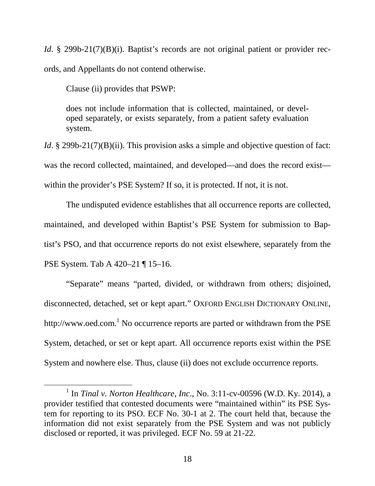*Id.* § 299b-21(7)(B)(i). Baptist's records are not original patient or provider records, and Appellants do not contend otherwise.

Clause (ii) provides that PSWP:

does not include information that is collected, maintained, or developed separately, or exists separately, from a patient safety evaluation system.

*Id.* § 299b-21(7)(B)(ii). This provision asks a simple and objective question of fact: was the record collected, maintained, and developed—and does the record exist within the provider's PSE System? If so, it is protected. If not, it is not.

The undisputed evidence establishes that all occurrence reports are collected, maintained, and developed within Baptist's PSE System for submission to Baptist's PSO, and that occurrence reports do not exist elsewhere, separately from the PSE System. Tab A 420–21 ¶ 15–16.

"Separate" means "parted, divided, or withdrawn from others; disjoined, disconnected, detached, set or kept apart." OXFORD ENGLISH DICTIONARY ONLINE, http://www.oed.com.<sup>[1](#page-25-0)</sup> No occurrence reports are parted or withdrawn from the PSE System, detached, or set or kept apart. All occurrence reports exist within the PSE System and nowhere else. Thus, clause (ii) does not exclude occurrence reports.

<span id="page-25-0"></span><sup>1</sup> In *Tinal v. Norton Healthcare*, *Inc*., No. 3:11-cv-00596 (W.D. Ky. 2014), a provider testified that contested documents were "maintained within" its PSE System for reporting to its PSO. ECF No. 30-1 at 2. The court held that, because the information did not exist separately from the PSE System and was not publicly disclosed or reported, it was privileged. ECF No. 59 at 21-22.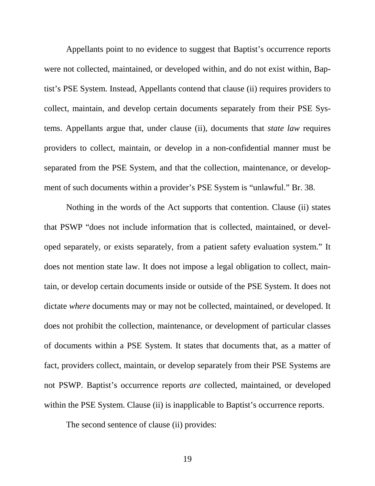Appellants point to no evidence to suggest that Baptist's occurrence reports were not collected, maintained, or developed within, and do not exist within, Baptist's PSE System. Instead, Appellants contend that clause (ii) requires providers to collect, maintain, and develop certain documents separately from their PSE Systems. Appellants argue that, under clause (ii), documents that *state law* requires providers to collect, maintain, or develop in a non-confidential manner must be separated from the PSE System, and that the collection, maintenance, or development of such documents within a provider's PSE System is "unlawful." Br. 38.

Nothing in the words of the Act supports that contention. Clause (ii) states that PSWP "does not include information that is collected, maintained, or developed separately, or exists separately, from a patient safety evaluation system." It does not mention state law. It does not impose a legal obligation to collect, maintain, or develop certain documents inside or outside of the PSE System. It does not dictate *where* documents may or may not be collected, maintained, or developed. It does not prohibit the collection, maintenance, or development of particular classes of documents within a PSE System. It states that documents that, as a matter of fact, providers collect, maintain, or develop separately from their PSE Systems are not PSWP. Baptist's occurrence reports *are* collected, maintained, or developed within the PSE System. Clause (ii) is inapplicable to Baptist's occurrence reports.

The second sentence of clause (ii) provides: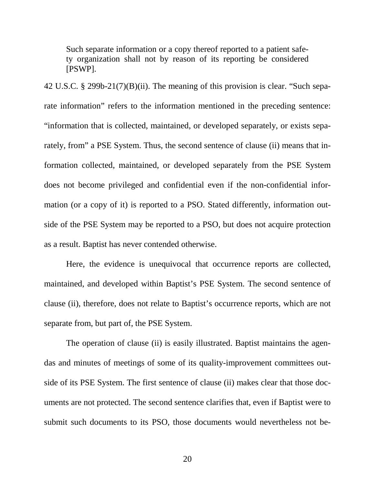Such separate information or a copy thereof reported to a patient safety organization shall not by reason of its reporting be considered [PSWP].

42 U.S.C. § 299b-21(7)(B)(ii). The meaning of this provision is clear. "Such separate information" refers to the information mentioned in the preceding sentence: "information that is collected, maintained, or developed separately, or exists separately, from" a PSE System. Thus, the second sentence of clause (ii) means that information collected, maintained, or developed separately from the PSE System does not become privileged and confidential even if the non-confidential information (or a copy of it) is reported to a PSO. Stated differently, information outside of the PSE System may be reported to a PSO, but does not acquire protection as a result. Baptist has never contended otherwise.

Here, the evidence is unequivocal that occurrence reports are collected, maintained, and developed within Baptist's PSE System. The second sentence of clause (ii), therefore, does not relate to Baptist's occurrence reports, which are not separate from, but part of, the PSE System.

The operation of clause (ii) is easily illustrated. Baptist maintains the agendas and minutes of meetings of some of its quality-improvement committees outside of its PSE System. The first sentence of clause (ii) makes clear that those documents are not protected. The second sentence clarifies that, even if Baptist were to submit such documents to its PSO, those documents would nevertheless not be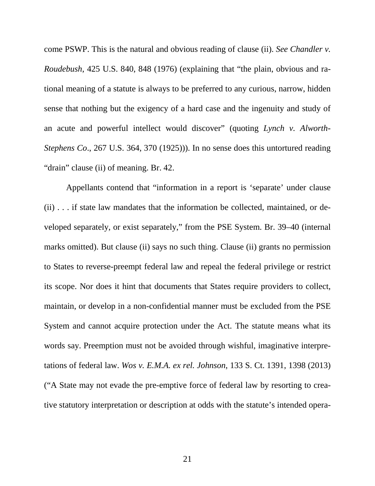come PSWP. This is the natural and obvious reading of clause (ii). *See Chandler v. Roudebush*, 425 U.S. 840, 848 (1976) (explaining that "the plain, obvious and rational meaning of a statute is always to be preferred to any curious, narrow, hidden sense that nothing but the exigency of a hard case and the ingenuity and study of an acute and powerful intellect would discover" (quoting *Lynch v. Alworth-Stephens Co*., 267 U.S. 364, 370 (1925))). In no sense does this untortured reading "drain" clause (ii) of meaning. Br. 42.

Appellants contend that "information in a report is 'separate' under clause (ii) . . . if state law mandates that the information be collected, maintained, or developed separately, or exist separately," from the PSE System. Br. 39–40 (internal marks omitted). But clause (ii) says no such thing. Clause (ii) grants no permission to States to reverse-preempt federal law and repeal the federal privilege or restrict its scope. Nor does it hint that documents that States require providers to collect, maintain, or develop in a non-confidential manner must be excluded from the PSE System and cannot acquire protection under the Act. The statute means what its words say. Preemption must not be avoided through wishful, imaginative interpretations of federal law. *Wos v. E.M.A. ex rel. Johnson*, 133 S. Ct. 1391, 1398 (2013) ("A State may not evade the pre-emptive force of federal law by resorting to creative statutory interpretation or description at odds with the statute's intended opera-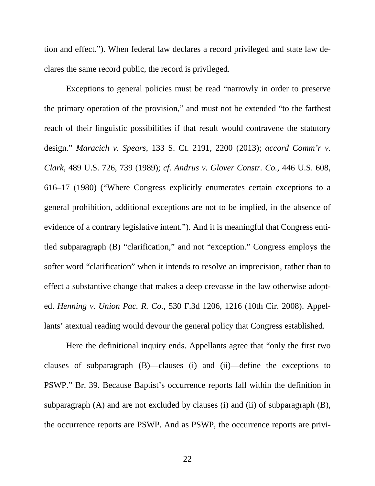tion and effect."). When federal law declares a record privileged and state law declares the same record public, the record is privileged.

Exceptions to general policies must be read "narrowly in order to preserve the primary operation of the provision," and must not be extended "to the farthest reach of their linguistic possibilities if that result would contravene the statutory design." *Maracich v. Spears*, 133 S. Ct. 2191, 2200 (2013); *accord Comm'r v. Clark*, 489 U.S. 726, 739 (1989); *cf. Andrus v. Glover Constr. Co.*, 446 U.S. 608, 616–17 (1980) ("Where Congress explicitly enumerates certain exceptions to a general prohibition, additional exceptions are not to be implied, in the absence of evidence of a contrary legislative intent."). And it is meaningful that Congress entitled subparagraph (B) "clarification," and not "exception." Congress employs the softer word "clarification" when it intends to resolve an imprecision, rather than to effect a substantive change that makes a deep crevasse in the law otherwise adopted. *Henning v. Union Pac. R. Co.*, 530 F.3d 1206, 1216 (10th Cir. 2008). Appellants' atextual reading would devour the general policy that Congress established.

Here the definitional inquiry ends. Appellants agree that "only the first two clauses of subparagraph (B)—clauses (i) and (ii)—define the exceptions to PSWP." Br. 39. Because Baptist's occurrence reports fall within the definition in subparagraph (A) and are not excluded by clauses (i) and (ii) of subparagraph (B), the occurrence reports are PSWP. And as PSWP, the occurrence reports are privi-

22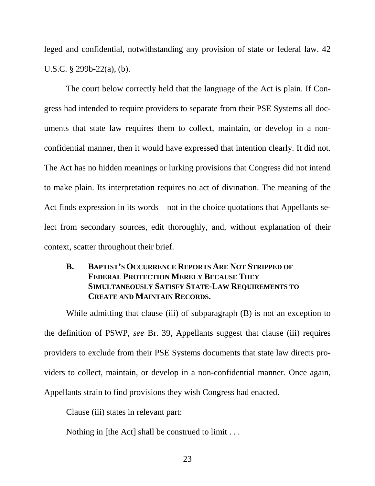leged and confidential, notwithstanding any provision of state or federal law. 42 U.S.C. § 299b-22(a), (b).

The court below correctly held that the language of the Act is plain. If Congress had intended to require providers to separate from their PSE Systems all documents that state law requires them to collect, maintain, or develop in a nonconfidential manner, then it would have expressed that intention clearly. It did not. The Act has no hidden meanings or lurking provisions that Congress did not intend to make plain. Its interpretation requires no act of divination. The meaning of the Act finds expression in its words—not in the choice quotations that Appellants select from secondary sources, edit thoroughly, and, without explanation of their context, scatter throughout their brief.

## <span id="page-30-0"></span>**B. BAPTIST'S OCCURRENCE REPORTS ARE NOT STRIPPED OF FEDERAL PROTECTION MERELY BECAUSE THEY SIMULTANEOUSLY SATISFY STATE-LAW REQUIREMENTS TO CREATE AND MAINTAIN RECORDS.**

While admitting that clause (iii) of subparagraph (B) is not an exception to the definition of PSWP, *see* Br. 39, Appellants suggest that clause (iii) requires providers to exclude from their PSE Systems documents that state law directs providers to collect, maintain, or develop in a non-confidential manner. Once again, Appellants strain to find provisions they wish Congress had enacted.

Clause (iii) states in relevant part:

Nothing in [the Act] shall be construed to limit . . .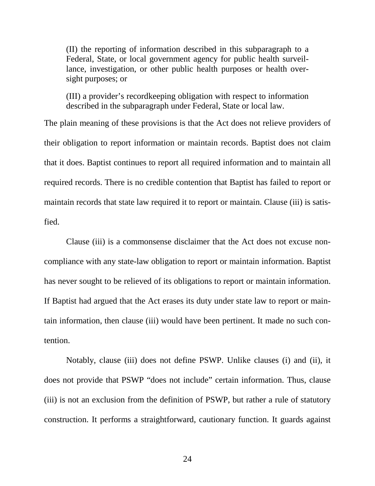(II) the reporting of information described in this subparagraph to a Federal, State, or local government agency for public health surveillance, investigation, or other public health purposes or health oversight purposes; or

(III) a provider's recordkeeping obligation with respect to information described in the subparagraph under Federal, State or local law.

The plain meaning of these provisions is that the Act does not relieve providers of their obligation to report information or maintain records. Baptist does not claim that it does. Baptist continues to report all required information and to maintain all required records. There is no credible contention that Baptist has failed to report or maintain records that state law required it to report or maintain. Clause (iii) is satisfied.

Clause (iii) is a commonsense disclaimer that the Act does not excuse noncompliance with any state-law obligation to report or maintain information. Baptist has never sought to be relieved of its obligations to report or maintain information. If Baptist had argued that the Act erases its duty under state law to report or maintain information, then clause (iii) would have been pertinent. It made no such contention.

Notably, clause (iii) does not define PSWP. Unlike clauses (i) and (ii), it does not provide that PSWP "does not include" certain information. Thus, clause (iii) is not an exclusion from the definition of PSWP, but rather a rule of statutory construction. It performs a straightforward, cautionary function. It guards against

24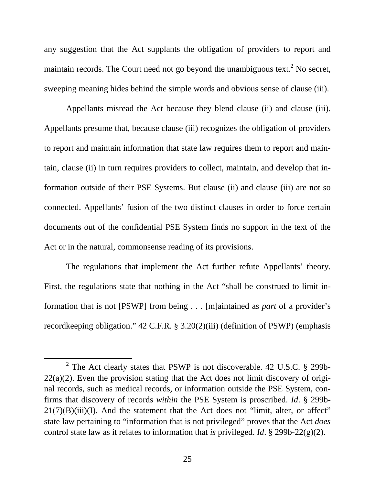any suggestion that the Act supplants the obligation of providers to report and maintainrecords[.](#page-32-0) The Court need not go beyond the unambiguous text.<sup>2</sup> No secret, sweeping meaning hides behind the simple words and obvious sense of clause (iii).

Appellants misread the Act because they blend clause (ii) and clause (iii). Appellants presume that, because clause (iii) recognizes the obligation of providers to report and maintain information that state law requires them to report and maintain, clause (ii) in turn requires providers to collect, maintain, and develop that information outside of their PSE Systems. But clause (ii) and clause (iii) are not so connected. Appellants' fusion of the two distinct clauses in order to force certain documents out of the confidential PSE System finds no support in the text of the Act or in the natural, commonsense reading of its provisions.

The regulations that implement the Act further refute Appellants' theory. First, the regulations state that nothing in the Act "shall be construed to limit information that is not [PSWP] from being . . . [m]aintained as *part* of a provider's recordkeeping obligation." 42 C.F.R. § 3.20(2)(iii) (definition of PSWP) (emphasis

<span id="page-32-0"></span> $2^2$  The Act clearly states that PSWP is not discoverable. 42 U.S.C. § 299b- $22(a)(2)$ . Even the provision stating that the Act does not limit discovery of original records, such as medical records, or information outside the PSE System, confirms that discovery of records *within* the PSE System is proscribed. *Id*. § 299b- $21(7)(B)(iii)(I)$ . And the statement that the Act does not "limit, alter, or affect" state law pertaining to "information that is not privileged" proves that the Act *does* control state law as it relates to information that *is* privileged. *Id*. § 299b-22(g)(2).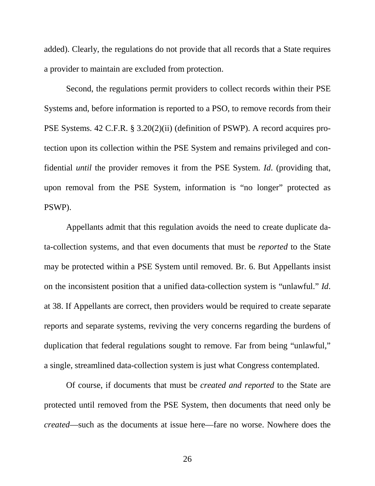added). Clearly, the regulations do not provide that all records that a State requires a provider to maintain are excluded from protection.

Second, the regulations permit providers to collect records within their PSE Systems and, before information is reported to a PSO, to remove records from their PSE Systems. 42 C.F.R. § 3.20(2)(ii) (definition of PSWP). A record acquires protection upon its collection within the PSE System and remains privileged and confidential *until* the provider removes it from the PSE System. *Id*. (providing that, upon removal from the PSE System, information is "no longer" protected as PSWP).

Appellants admit that this regulation avoids the need to create duplicate data-collection systems, and that even documents that must be *reported* to the State may be protected within a PSE System until removed. Br. 6. But Appellants insist on the inconsistent position that a unified data-collection system is "unlawful." *Id*. at 38. If Appellants are correct, then providers would be required to create separate reports and separate systems, reviving the very concerns regarding the burdens of duplication that federal regulations sought to remove. Far from being "unlawful," a single, streamlined data-collection system is just what Congress contemplated.

Of course, if documents that must be *created and reported* to the State are protected until removed from the PSE System, then documents that need only be *created*—such as the documents at issue here—fare no worse. Nowhere does the

26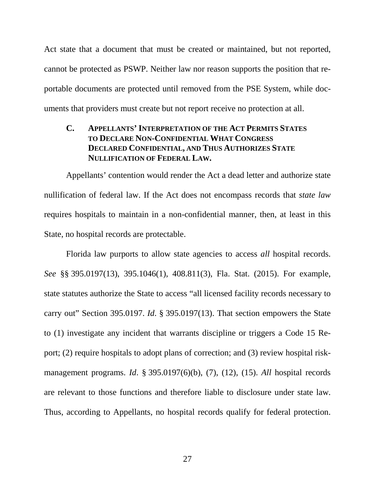Act state that a document that must be created or maintained, but not reported, cannot be protected as PSWP. Neither law nor reason supports the position that reportable documents are protected until removed from the PSE System, while documents that providers must create but not report receive no protection at all.

### <span id="page-34-0"></span>**C. APPELLANTS' INTERPRETATION OF THE ACT PERMITS STATES TO DECLARE NON-CONFIDENTIAL WHAT CONGRESS DECLARED CONFIDENTIAL, AND THUS AUTHORIZES STATE NULLIFICATION OF FEDERAL LAW.**

Appellants' contention would render the Act a dead letter and authorize state nullification of federal law. If the Act does not encompass records that *state law* requires hospitals to maintain in a non-confidential manner, then, at least in this State, no hospital records are protectable.

Florida law purports to allow state agencies to access *all* hospital records. *See* §§ 395.0197(13), 395.1046(1), 408.811(3), Fla. Stat. (2015). For example, state statutes authorize the State to access "all licensed facility records necessary to carry out" Section 395.0197. *Id*. § 395.0197(13). That section empowers the State to (1) investigate any incident that warrants discipline or triggers a Code 15 Report; (2) require hospitals to adopt plans of correction; and (3) review hospital riskmanagement programs. *Id*. § 395.0197(6)(b), (7), (12), (15). *All* hospital records are relevant to those functions and therefore liable to disclosure under state law. Thus, according to Appellants, no hospital records qualify for federal protection.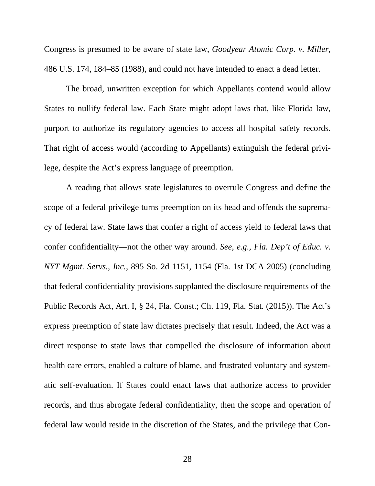Congress is presumed to be aware of state law, *Goodyear Atomic Corp. v. Miller*, 486 U.S. 174, 184–85 (1988), and could not have intended to enact a dead letter.

The broad, unwritten exception for which Appellants contend would allow States to nullify federal law. Each State might adopt laws that, like Florida law, purport to authorize its regulatory agencies to access all hospital safety records. That right of access would (according to Appellants) extinguish the federal privilege, despite the Act's express language of preemption.

A reading that allows state legislatures to overrule Congress and define the scope of a federal privilege turns preemption on its head and offends the supremacy of federal law. State laws that confer a right of access yield to federal laws that confer confidentiality—not the other way around. *See*, *e.g.*, *Fla. Dep't of Educ. v. NYT Mgmt. Servs.*, *Inc.*, 895 So. 2d 1151, 1154 (Fla. 1st DCA 2005) (concluding that federal confidentiality provisions supplanted the disclosure requirements of the Public Records Act, Art. I, § 24, Fla. Const.; Ch. 119, Fla. Stat. (2015)). The Act's express preemption of state law dictates precisely that result. Indeed, the Act was a direct response to state laws that compelled the disclosure of information about health care errors, enabled a culture of blame, and frustrated voluntary and systematic self-evaluation. If States could enact laws that authorize access to provider records, and thus abrogate federal confidentiality, then the scope and operation of federal law would reside in the discretion of the States, and the privilege that Con-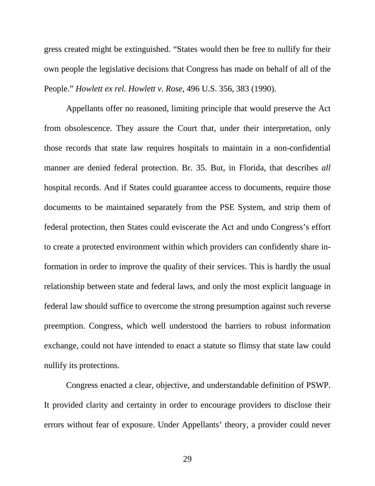gress created might be extinguished. "States would then be free to nullify for their own people the legislative decisions that Congress has made on behalf of all of the People." *Howlett ex rel. Howlett v. Rose*, 496 U.S. 356, 383 (1990).

Appellants offer no reasoned, limiting principle that would preserve the Act from obsolescence. They assure the Court that, under their interpretation, only those records that state law requires hospitals to maintain in a non-confidential manner are denied federal protection. Br. 35. But, in Florida, that describes *all* hospital records. And if States could guarantee access to documents, require those documents to be maintained separately from the PSE System, and strip them of federal protection, then States could eviscerate the Act and undo Congress's effort to create a protected environment within which providers can confidently share information in order to improve the quality of their services. This is hardly the usual relationship between state and federal laws, and only the most explicit language in federal law should suffice to overcome the strong presumption against such reverse preemption. Congress, which well understood the barriers to robust information exchange, could not have intended to enact a statute so flimsy that state law could nullify its protections.

Congress enacted a clear, objective, and understandable definition of PSWP. It provided clarity and certainty in order to encourage providers to disclose their errors without fear of exposure. Under Appellants' theory, a provider could never

29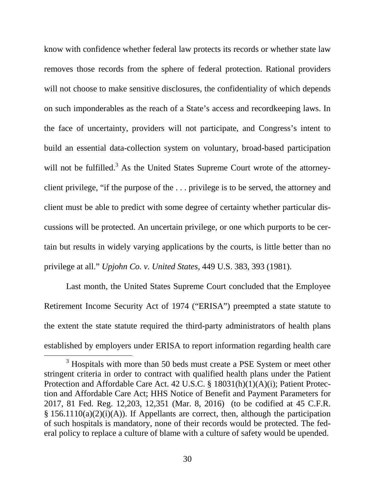know with confidence whether federal law protects its records or whether state law removes those records from the sphere of federal protection. Rational providers will not choose to make sensitive disclosures, the confidentiality of which depends on such imponderables as the reach of a State's access and recordkeeping laws. In the face of uncertainty, providers will not participate, and Congress's intent to build an essential data-collection system on voluntary, broad-based participation will not be fulfille[d.](#page-37-0)<sup>3</sup> As the United States Supreme Court wrote of the attorneyclient privilege, "if the purpose of the . . . privilege is to be served, the attorney and client must be able to predict with some degree of certainty whether particular discussions will be protected. An uncertain privilege, or one which purports to be certain but results in widely varying applications by the courts, is little better than no privilege at all." *Upjohn Co. v. United States*, 449 U.S. 383, 393 (1981).

Last month, the United States Supreme Court concluded that the Employee Retirement Income Security Act of 1974 ("ERISA") preempted a state statute to the extent the state statute required the third-party administrators of health plans established by employers under ERISA to report information regarding health care

<span id="page-37-0"></span><sup>&</sup>lt;sup>3</sup> Hospitals with more than 50 beds must create a PSE System or meet other stringent criteria in order to contract with qualified health plans under the Patient Protection and Affordable Care Act. 42 U.S.C. § 18031(h)(1)(A)(i); Patient Protection and Affordable Care Act; HHS Notice of Benefit and Payment Parameters for 2017, 81 Fed. Reg. 12,203, 12,351 (Mar. 8, 2016) (to be codified at 45 C.F.R.  $§$  156.1110(a)(2)(i)(A)). If Appellants are correct, then, although the participation of such hospitals is mandatory, none of their records would be protected. The federal policy to replace a culture of blame with a culture of safety would be upended.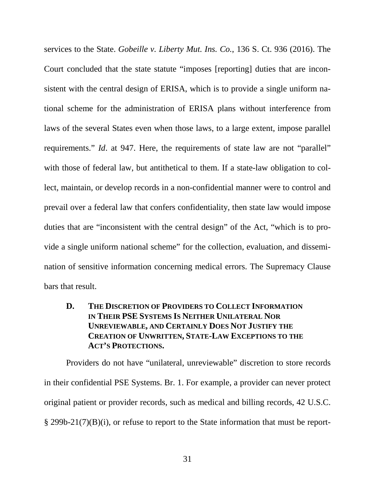services to the State. *Gobeille v. Liberty Mut. Ins. Co.*, 136 S. Ct. 936 (2016). The Court concluded that the state statute "imposes [reporting] duties that are inconsistent with the central design of ERISA, which is to provide a single uniform national scheme for the administration of ERISA plans without interference from laws of the several States even when those laws, to a large extent, impose parallel requirements." *Id*. at 947. Here, the requirements of state law are not "parallel" with those of federal law, but antithetical to them. If a state-law obligation to collect, maintain, or develop records in a non-confidential manner were to control and prevail over a federal law that confers confidentiality, then state law would impose duties that are "inconsistent with the central design" of the Act, "which is to provide a single uniform national scheme" for the collection, evaluation, and dissemination of sensitive information concerning medical errors. The Supremacy Clause bars that result.

## <span id="page-38-0"></span>**D. THE DISCRETION OF PROVIDERS TO COLLECT INFORMATION IN THEIR PSE SYSTEMS IS NEITHER UNILATERAL NOR UNREVIEWABLE, AND CERTAINLY DOES NOT JUSTIFY THE CREATION OF UNWRITTEN, STATE-LAW EXCEPTIONS TO THE ACT'S PROTECTIONS.**

Providers do not have "unilateral, unreviewable" discretion to store records in their confidential PSE Systems. Br. 1. For example, a provider can never protect original patient or provider records, such as medical and billing records, 42 U.S.C. § 299b-21(7)(B)(i), or refuse to report to the State information that must be report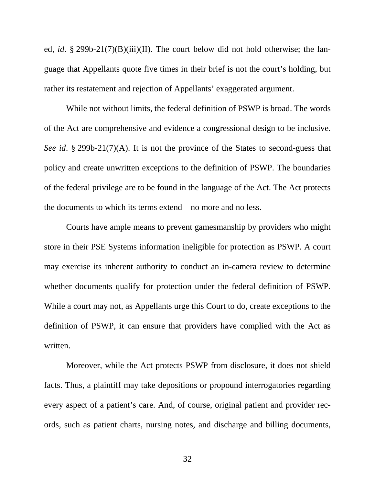ed, *id*. § 299b-21(7)(B)(iii)(II). The court below did not hold otherwise; the language that Appellants quote five times in their brief is not the court's holding, but rather its restatement and rejection of Appellants' exaggerated argument.

While not without limits, the federal definition of PSWP is broad. The words of the Act are comprehensive and evidence a congressional design to be inclusive. *See id*. § 299b-21(7)(A). It is not the province of the States to second-guess that policy and create unwritten exceptions to the definition of PSWP. The boundaries of the federal privilege are to be found in the language of the Act. The Act protects the documents to which its terms extend—no more and no less.

Courts have ample means to prevent gamesmanship by providers who might store in their PSE Systems information ineligible for protection as PSWP. A court may exercise its inherent authority to conduct an in-camera review to determine whether documents qualify for protection under the federal definition of PSWP. While a court may not, as Appellants urge this Court to do, create exceptions to the definition of PSWP, it can ensure that providers have complied with the Act as written.

Moreover, while the Act protects PSWP from disclosure, it does not shield facts. Thus, a plaintiff may take depositions or propound interrogatories regarding every aspect of a patient's care. And, of course, original patient and provider records, such as patient charts, nursing notes, and discharge and billing documents,

32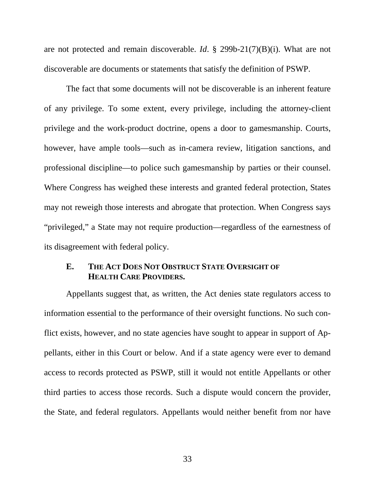are not protected and remain discoverable. *Id*. § 299b-21(7)(B)(i). What are not discoverable are documents or statements that satisfy the definition of PSWP.

The fact that some documents will not be discoverable is an inherent feature of any privilege. To some extent, every privilege, including the attorney-client privilege and the work-product doctrine, opens a door to gamesmanship. Courts, however, have ample tools—such as in-camera review, litigation sanctions, and professional discipline—to police such gamesmanship by parties or their counsel. Where Congress has weighed these interests and granted federal protection, States may not reweigh those interests and abrogate that protection. When Congress says "privileged," a State may not require production—regardless of the earnestness of its disagreement with federal policy.

#### <span id="page-40-0"></span>**E. THE ACT DOES NOT OBSTRUCT STATE OVERSIGHT OF HEALTH CARE PROVIDERS.**

Appellants suggest that, as written, the Act denies state regulators access to information essential to the performance of their oversight functions. No such conflict exists, however, and no state agencies have sought to appear in support of Appellants, either in this Court or below. And if a state agency were ever to demand access to records protected as PSWP, still it would not entitle Appellants or other third parties to access those records. Such a dispute would concern the provider, the State, and federal regulators. Appellants would neither benefit from nor have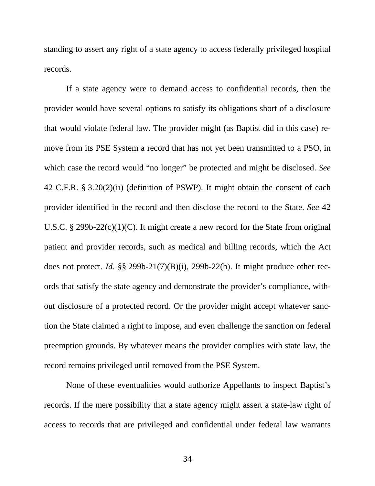standing to assert any right of a state agency to access federally privileged hospital records.

If a state agency were to demand access to confidential records, then the provider would have several options to satisfy its obligations short of a disclosure that would violate federal law. The provider might (as Baptist did in this case) remove from its PSE System a record that has not yet been transmitted to a PSO, in which case the record would "no longer" be protected and might be disclosed. *See* 42 C.F.R. § 3.20(2)(ii) (definition of PSWP). It might obtain the consent of each provider identified in the record and then disclose the record to the State. *See* 42 U.S.C. § 299b-22(c)(1)(C). It might create a new record for the State from original patient and provider records, such as medical and billing records, which the Act does not protect. *Id*. §§ 299b-21(7)(B)(i), 299b-22(h). It might produce other records that satisfy the state agency and demonstrate the provider's compliance, without disclosure of a protected record. Or the provider might accept whatever sanction the State claimed a right to impose, and even challenge the sanction on federal preemption grounds. By whatever means the provider complies with state law, the record remains privileged until removed from the PSE System.

None of these eventualities would authorize Appellants to inspect Baptist's records. If the mere possibility that a state agency might assert a state-law right of access to records that are privileged and confidential under federal law warrants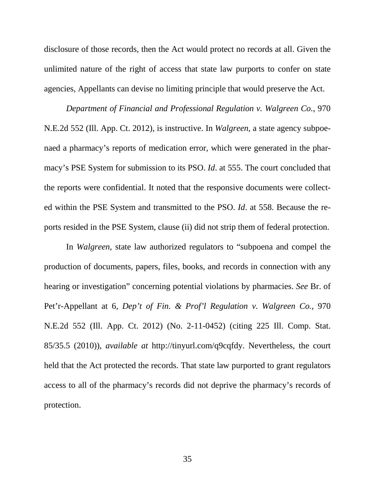disclosure of those records, then the Act would protect no records at all. Given the unlimited nature of the right of access that state law purports to confer on state agencies, Appellants can devise no limiting principle that would preserve the Act.

*Department of Financial and Professional Regulation v. Walgreen Co.*, 970 N.E.2d 552 (Ill. App. Ct. 2012), is instructive. In *Walgreen*, a state agency subpoenaed a pharmacy's reports of medication error, which were generated in the pharmacy's PSE System for submission to its PSO. *Id*. at 555. The court concluded that the reports were confidential. It noted that the responsive documents were collected within the PSE System and transmitted to the PSO. *Id*. at 558. Because the reports resided in the PSE System, clause (ii) did not strip them of federal protection.

In *Walgreen*, state law authorized regulators to "subpoena and compel the production of documents, papers, files, books, and records in connection with any hearing or investigation" concerning potential violations by pharmacies. *See* Br. of Pet'r-Appellant at 6, *Dep't of Fin. & Prof'l Regulation v. Walgreen Co.*, 970 N.E.2d 552 (Ill. App. Ct. 2012) (No. 2-11-0452) (citing 225 Ill. Comp. Stat. 85/35.5 (2010)), *available at* http://tinyurl.com/q9cqfdy. Nevertheless, the court held that the Act protected the records. That state law purported to grant regulators access to all of the pharmacy's records did not deprive the pharmacy's records of protection.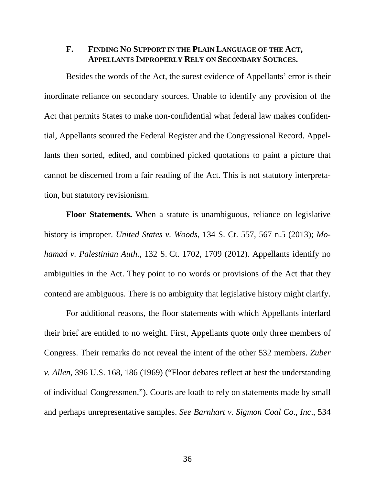### <span id="page-43-0"></span>**F. FINDING NO SUPPORT IN THE PLAIN LANGUAGE OF THE ACT, APPELLANTS IMPROPERLY RELY ON SECONDARY SOURCES.**

Besides the words of the Act, the surest evidence of Appellants' error is their inordinate reliance on secondary sources. Unable to identify any provision of the Act that permits States to make non-confidential what federal law makes confidential, Appellants scoured the Federal Register and the Congressional Record. Appellants then sorted, edited, and combined picked quotations to paint a picture that cannot be discerned from a fair reading of the Act. This is not statutory interpretation, but statutory revisionism.

**Floor Statements.** When a statute is unambiguous, reliance on legislative history is improper. *United States v. Woods*, 134 S. Ct. 557, 567 n.5 (2013); *Mohamad v. Palestinian Auth*., 132 S. Ct. 1702, 1709 (2012). Appellants identify no ambiguities in the Act. They point to no words or provisions of the Act that they contend are ambiguous. There is no ambiguity that legislative history might clarify.

For additional reasons, the floor statements with which Appellants interlard their brief are entitled to no weight. First, Appellants quote only three members of Congress. Their remarks do not reveal the intent of the other 532 members. *Zuber v. Allen*, 396 U.S. 168, 186 (1969) ("Floor debates reflect at best the understanding of individual Congressmen."). Courts are loath to rely on statements made by small and perhaps unrepresentative samples. *See Barnhart v. Sigmon Coal Co*., *Inc*., 534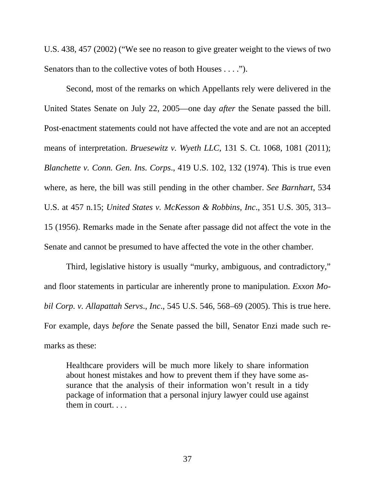U.S. 438, 457 (2002) ("We see no reason to give greater weight to the views of two Senators than to the collective votes of both Houses . . . .").

Second, most of the remarks on which Appellants rely were delivered in the United States Senate on July 22, 2005—one day *after* the Senate passed the bill. Post-enactment statements could not have affected the vote and are not an accepted means of interpretation. *Bruesewitz v. Wyeth LLC*, 131 S. Ct. 1068, 1081 (2011); *Blanchette v. Conn. Gen. Ins. Corps*., 419 U.S. 102, 132 (1974). This is true even where, as here, the bill was still pending in the other chamber. *See Barnhart*, 534 U.S. at 457 n.15; *United States v. McKesson & Robbins*, *Inc*., 351 U.S. 305, 313– 15 (1956). Remarks made in the Senate after passage did not affect the vote in the Senate and cannot be presumed to have affected the vote in the other chamber.

Third, legislative history is usually "murky, ambiguous, and contradictory," and floor statements in particular are inherently prone to manipulation. *Exxon Mobil Corp. v. Allapattah Servs*., *Inc*., 545 U.S. 546, 568–69 (2005). This is true here. For example, days *before* the Senate passed the bill, Senator Enzi made such remarks as these:

Healthcare providers will be much more likely to share information about honest mistakes and how to prevent them if they have some assurance that the analysis of their information won't result in a tidy package of information that a personal injury lawyer could use against them in court. . . .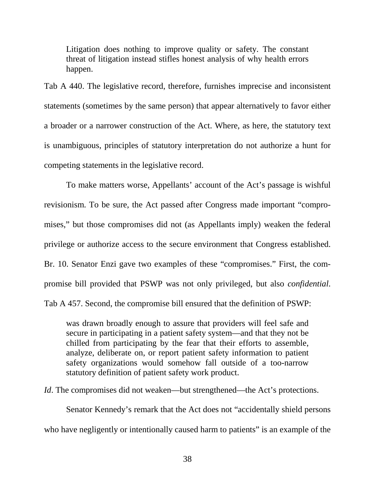Litigation does nothing to improve quality or safety. The constant threat of litigation instead stifles honest analysis of why health errors happen.

Tab A 440. The legislative record, therefore, furnishes imprecise and inconsistent statements (sometimes by the same person) that appear alternatively to favor either a broader or a narrower construction of the Act. Where, as here, the statutory text is unambiguous, principles of statutory interpretation do not authorize a hunt for competing statements in the legislative record.

To make matters worse, Appellants' account of the Act's passage is wishful revisionism. To be sure, the Act passed after Congress made important "compromises," but those compromises did not (as Appellants imply) weaken the federal privilege or authorize access to the secure environment that Congress established. Br. 10. Senator Enzi gave two examples of these "compromises." First, the compromise bill provided that PSWP was not only privileged, but also *confidential*. Tab A 457. Second, the compromise bill ensured that the definition of PSWP:

was drawn broadly enough to assure that providers will feel safe and secure in participating in a patient safety system—and that they not be chilled from participating by the fear that their efforts to assemble, analyze, deliberate on, or report patient safety information to patient safety organizations would somehow fall outside of a too-narrow statutory definition of patient safety work product.

*Id*. The compromises did not weaken—but strengthened—the Act's protections.

Senator Kennedy's remark that the Act does not "accidentally shield persons who have negligently or intentionally caused harm to patients" is an example of the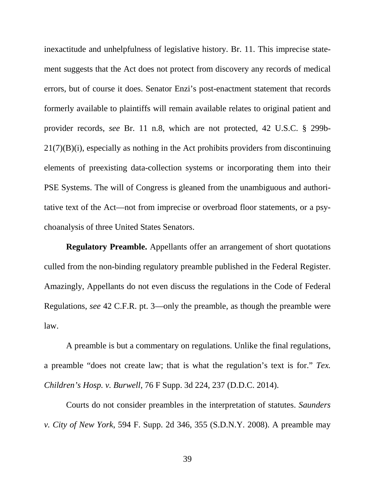inexactitude and unhelpfulness of legislative history. Br. 11. This imprecise statement suggests that the Act does not protect from discovery any records of medical errors, but of course it does. Senator Enzi's post-enactment statement that records formerly available to plaintiffs will remain available relates to original patient and provider records, *see* Br. 11 n.8, which are not protected, 42 U.S.C. § 299b- $21(7)(B)(i)$ , especially as nothing in the Act prohibits providers from discontinuing elements of preexisting data-collection systems or incorporating them into their PSE Systems. The will of Congress is gleaned from the unambiguous and authoritative text of the Act—not from imprecise or overbroad floor statements, or a psychoanalysis of three United States Senators.

**Regulatory Preamble.** Appellants offer an arrangement of short quotations culled from the non-binding regulatory preamble published in the Federal Register. Amazingly, Appellants do not even discuss the regulations in the Code of Federal Regulations, *see* 42 C.F.R. pt. 3—only the preamble, as though the preamble were law.

A preamble is but a commentary on regulations. Unlike the final regulations, a preamble "does not create law; that is what the regulation's text is for." *Tex. Children's Hosp. v. Burwell*, 76 F Supp. 3d 224, 237 (D.D.C. 2014).

Courts do not consider preambles in the interpretation of statutes. *Saunders v. City of New York*, 594 F. Supp. 2d 346, 355 (S.D.N.Y. 2008). A preamble may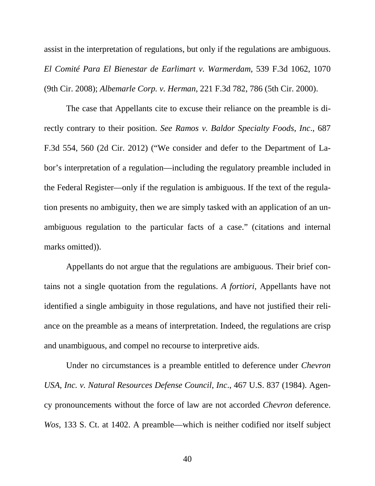assist in the interpretation of regulations, but only if the regulations are ambiguous. *El Comité Para El Bienestar de Earlimart v. Warmerdam*, 539 F.3d 1062, 1070 (9th Cir. 2008); *Albemarle Corp. v. Herman*, 221 F.3d 782, 786 (5th Cir. 2000).

The case that Appellants cite to excuse their reliance on the preamble is directly contrary to their position. *See Ramos v. Baldor Specialty Foods*, *Inc*., 687 F.3d 554, 560 (2d Cir. 2012) ("We consider and defer to the Department of Labor's interpretation of a regulation—including the regulatory preamble included in the Federal Register—only if the regulation is ambiguous. If the text of the regulation presents no ambiguity, then we are simply tasked with an application of an unambiguous regulation to the particular facts of a case." (citations and internal marks omitted)).

Appellants do not argue that the regulations are ambiguous. Their brief contains not a single quotation from the regulations. *A fortiori*, Appellants have not identified a single ambiguity in those regulations, and have not justified their reliance on the preamble as a means of interpretation. Indeed, the regulations are crisp and unambiguous, and compel no recourse to interpretive aids.

Under no circumstances is a preamble entitled to deference under *Chevron USA*, *Inc. v. Natural Resources Defense Council*, *Inc*., 467 U.S. 837 (1984). Agency pronouncements without the force of law are not accorded *Chevron* deference. *Wos*, 133 S. Ct. at 1402. A preamble—which is neither codified nor itself subject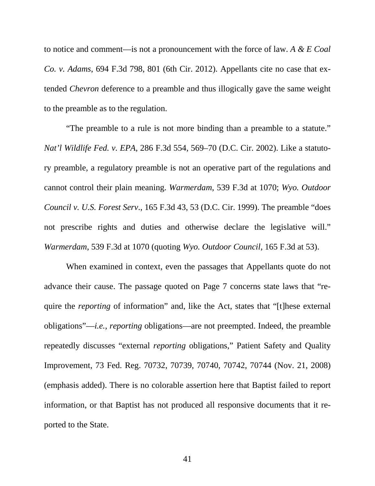to notice and comment—is not a pronouncement with the force of law. *A & E Coal Co. v. Adams*, 694 F.3d 798, 801 (6th Cir. 2012). Appellants cite no case that extended *Chevron* deference to a preamble and thus illogically gave the same weight to the preamble as to the regulation.

"The preamble to a rule is not more binding than a preamble to a statute." *Nat'l Wildlife Fed. v. EPA*, 286 F.3d 554, 569–70 (D.C. Cir. 2002). Like a statutory preamble, a regulatory preamble is not an operative part of the regulations and cannot control their plain meaning. *Warmerdam*, 539 F.3d at 1070; *Wyo. Outdoor Council v. U.S. Forest Serv*., 165 F.3d 43, 53 (D.C. Cir. 1999). The preamble "does not prescribe rights and duties and otherwise declare the legislative will." *Warmerdam*, 539 F.3d at 1070 (quoting *Wyo. Outdoor Council*, 165 F.3d at 53).

When examined in context, even the passages that Appellants quote do not advance their cause. The passage quoted on Page 7 concerns state laws that "require the *reporting* of information" and, like the Act, states that "[t]hese external obligations"—*i.e.*, *reporting* obligations—are not preempted. Indeed, the preamble repeatedly discusses "external *reporting* obligations," Patient Safety and Quality Improvement, 73 Fed. Reg. 70732, 70739, 70740, 70742, 70744 (Nov. 21, 2008) (emphasis added). There is no colorable assertion here that Baptist failed to report information, or that Baptist has not produced all responsive documents that it reported to the State.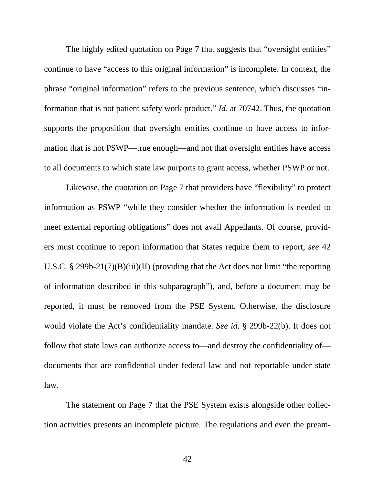The highly edited quotation on Page 7 that suggests that "oversight entities" continue to have "access to this original information" is incomplete. In context, the phrase "original information" refers to the previous sentence, which discusses "information that is not patient safety work product." *Id*. at 70742. Thus, the quotation supports the proposition that oversight entities continue to have access to information that is not PSWP—true enough—and not that oversight entities have access to all documents to which state law purports to grant access, whether PSWP or not.

Likewise, the quotation on Page 7 that providers have "flexibility" to protect information as PSWP "while they consider whether the information is needed to meet external reporting obligations" does not avail Appellants. Of course, providers must continue to report information that States require them to report, *see* 42 U.S.C. § 299b-21(7)(B)(iii)(II) (providing that the Act does not limit "the reporting of information described in this subparagraph"), and, before a document may be reported, it must be removed from the PSE System. Otherwise, the disclosure would violate the Act's confidentiality mandate. *See id*. § 299b-22(b). It does not follow that state laws can authorize access to—and destroy the confidentiality of documents that are confidential under federal law and not reportable under state law.

The statement on Page 7 that the PSE System exists alongside other collection activities presents an incomplete picture. The regulations and even the pream-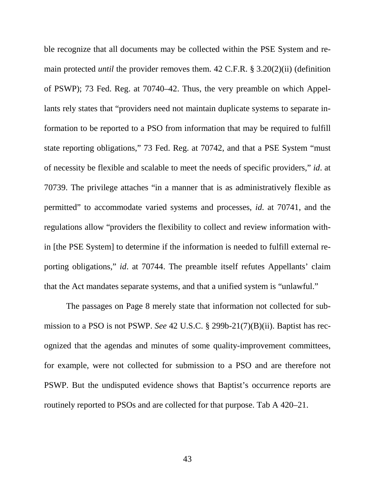ble recognize that all documents may be collected within the PSE System and remain protected *until* the provider removes them. 42 C.F.R. § 3.20(2)(ii) (definition of PSWP); 73 Fed. Reg. at 70740–42. Thus, the very preamble on which Appellants rely states that "providers need not maintain duplicate systems to separate information to be reported to a PSO from information that may be required to fulfill state reporting obligations," 73 Fed. Reg. at 70742, and that a PSE System "must of necessity be flexible and scalable to meet the needs of specific providers," *id*. at 70739. The privilege attaches "in a manner that is as administratively flexible as permitted" to accommodate varied systems and processes, *id*. at 70741, and the regulations allow "providers the flexibility to collect and review information within [the PSE System] to determine if the information is needed to fulfill external reporting obligations," *id*. at 70744. The preamble itself refutes Appellants' claim that the Act mandates separate systems, and that a unified system is "unlawful."

The passages on Page 8 merely state that information not collected for submission to a PSO is not PSWP. *See* 42 U.S.C. § 299b-21(7)(B)(ii). Baptist has recognized that the agendas and minutes of some quality-improvement committees, for example, were not collected for submission to a PSO and are therefore not PSWP. But the undisputed evidence shows that Baptist's occurrence reports are routinely reported to PSOs and are collected for that purpose. Tab A 420–21.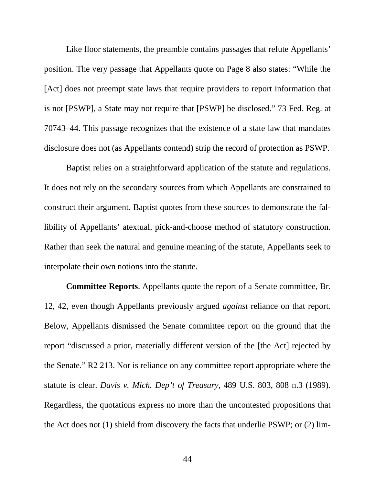Like floor statements, the preamble contains passages that refute Appellants' position. The very passage that Appellants quote on Page 8 also states: "While the [Act] does not preempt state laws that require providers to report information that is not [PSWP], a State may not require that [PSWP] be disclosed." 73 Fed. Reg. at 70743–44. This passage recognizes that the existence of a state law that mandates disclosure does not (as Appellants contend) strip the record of protection as PSWP.

Baptist relies on a straightforward application of the statute and regulations. It does not rely on the secondary sources from which Appellants are constrained to construct their argument. Baptist quotes from these sources to demonstrate the fallibility of Appellants' atextual, pick-and-choose method of statutory construction. Rather than seek the natural and genuine meaning of the statute, Appellants seek to interpolate their own notions into the statute.

**Committee Reports**. Appellants quote the report of a Senate committee, Br. 12, 42, even though Appellants previously argued *against* reliance on that report. Below, Appellants dismissed the Senate committee report on the ground that the report "discussed a prior, materially different version of the [the Act] rejected by the Senate." R2 213. Nor is reliance on any committee report appropriate where the statute is clear. *Davis v. Mich. Dep't of Treasury*, 489 U.S. 803, 808 n.3 (1989). Regardless, the quotations express no more than the uncontested propositions that the Act does not (1) shield from discovery the facts that underlie PSWP; or (2) lim-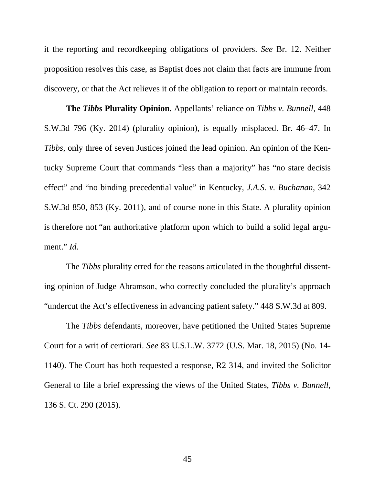it the reporting and recordkeeping obligations of providers. *See* Br. 12. Neither proposition resolves this case, as Baptist does not claim that facts are immune from discovery, or that the Act relieves it of the obligation to report or maintain records.

**The** *Tibbs* **Plurality Opinion.** Appellants' reliance on *Tibbs v. Bunnell*, 448 S.W.3d 796 (Ky. 2014) (plurality opinion), is equally misplaced. Br. 46–47. In *Tibbs*, only three of seven Justices joined the lead opinion. An opinion of the Kentucky Supreme Court that commands "less than a majority" has "no stare decisis effect" and "no binding precedential value" in Kentucky, *J.A.S. v. Buchanan*, 342 S.W.3d 850, 853 (Ky. 2011), and of course none in this State. A plurality opinion is therefore not "an authoritative platform upon which to build a solid legal argument." *Id*.

The *Tibbs* plurality erred for the reasons articulated in the thoughtful dissenting opinion of Judge Abramson, who correctly concluded the plurality's approach "undercut the Act's effectiveness in advancing patient safety." 448 S.W.3d at 809.

The *Tibbs* defendants, moreover, have petitioned the United States Supreme Court for a writ of certiorari. *See* 83 U.S.L.W. 3772 (U.S. Mar. 18, 2015) (No. 14- 1140). The Court has both requested a response, R2 314, and invited the Solicitor General to file a brief expressing the views of the United States, *Tibbs v. Bunnell*, 136 S. Ct. 290 (2015).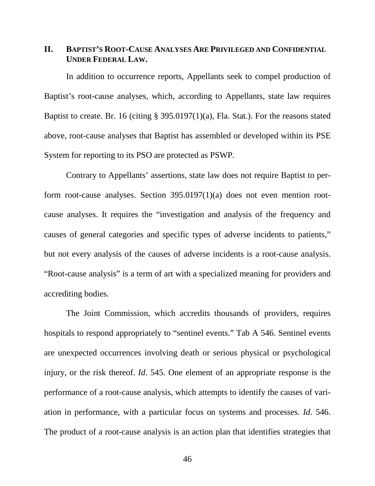### <span id="page-53-0"></span>**II. BAPTIST'S ROOT-CAUSE ANALYSES ARE PRIVILEGED AND CONFIDENTIAL UNDER FEDERAL LAW.**

In addition to occurrence reports, Appellants seek to compel production of Baptist's root-cause analyses, which, according to Appellants, state law requires Baptist to create. Br. 16 (citing § 395.0197(1)(a), Fla. Stat.). For the reasons stated above, root-cause analyses that Baptist has assembled or developed within its PSE System for reporting to its PSO are protected as PSWP.

Contrary to Appellants' assertions, state law does not require Baptist to perform root-cause analyses. Section 395.0197(1)(a) does not even mention rootcause analyses. It requires the "investigation and analysis of the frequency and causes of general categories and specific types of adverse incidents to patients," but not every analysis of the causes of adverse incidents is a root-cause analysis. "Root-cause analysis" is a term of art with a specialized meaning for providers and accrediting bodies.

The Joint Commission, which accredits thousands of providers, requires hospitals to respond appropriately to "sentinel events." Tab A 546. Sentinel events are unexpected occurrences involving death or serious physical or psychological injury, or the risk thereof. *Id*. 545. One element of an appropriate response is the performance of a root-cause analysis, which attempts to identify the causes of variation in performance, with a particular focus on systems and processes. *Id*. 546. The product of a root-cause analysis is an action plan that identifies strategies that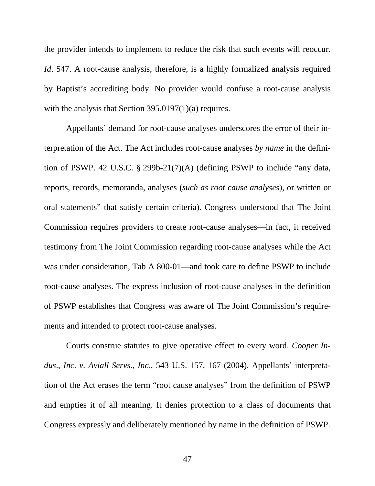the provider intends to implement to reduce the risk that such events will reoccur. *Id*. 547. A root-cause analysis, therefore, is a highly formalized analysis required by Baptist's accrediting body. No provider would confuse a root-cause analysis with the analysis that Section 395.0197(1)(a) requires.

Appellants' demand for root-cause analyses underscores the error of their interpretation of the Act. The Act includes root-cause analyses *by name* in the definition of PSWP. 42 U.S.C. § 299b-21(7)(A) (defining PSWP to include "any data, reports, records, memoranda, analyses (*such as root cause analyses*), or written or oral statements" that satisfy certain criteria). Congress understood that The Joint Commission requires providers to create root-cause analyses—in fact, it received testimony from The Joint Commission regarding root-cause analyses while the Act was under consideration, Tab A 800-01—and took care to define PSWP to include root-cause analyses. The express inclusion of root-cause analyses in the definition of PSWP establishes that Congress was aware of The Joint Commission's requirements and intended to protect root-cause analyses.

Courts construe statutes to give operative effect to every word. *Cooper Indus*., *Inc. v. Aviall Servs*., *Inc*., 543 U.S. 157, 167 (2004). Appellants' interpretation of the Act erases the term "root cause analyses" from the definition of PSWP and empties it of all meaning. It denies protection to a class of documents that Congress expressly and deliberately mentioned by name in the definition of PSWP.

47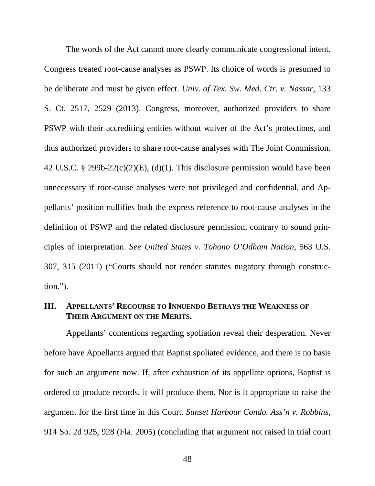The words of the Act cannot more clearly communicate congressional intent. Congress treated root-cause analyses as PSWP. Its choice of words is presumed to be deliberate and must be given effect. *Univ. of Tex. Sw. Med. Ctr. v. Nassar*, 133 S. Ct. 2517, 2529 (2013). Congress, moreover, authorized providers to share PSWP with their accrediting entities without waiver of the Act's protections, and thus authorized providers to share root-cause analyses with The Joint Commission. 42 U.S.C. § 299b-22 $(c)(2)(E)$ ,  $(d)(1)$ . This disclosure permission would have been unnecessary if root-cause analyses were not privileged and confidential, and Appellants' position nullifies both the express reference to root-cause analyses in the definition of PSWP and the related disclosure permission, contrary to sound principles of interpretation. *See United States v. Tohono O'Odham Nation*, 563 U.S. 307, 315 (2011) ("Courts should not render statutes nugatory through construction.").

### <span id="page-55-0"></span>**III. APPELLANTS' RECOURSE TO INNUENDO BETRAYS THE WEAKNESS OF THEIR ARGUMENT ON THE MERITS.**

Appellants' contentions regarding spoliation reveal their desperation. Never before have Appellants argued that Baptist spoliated evidence, and there is no basis for such an argument now. If, after exhaustion of its appellate options, Baptist is ordered to produce records, it will produce them. Nor is it appropriate to raise the argument for the first time in this Court. *Sunset Harbour Condo. Ass'n v. Robbins*, 914 So. 2d 925, 928 (Fla. 2005) (concluding that argument not raised in trial court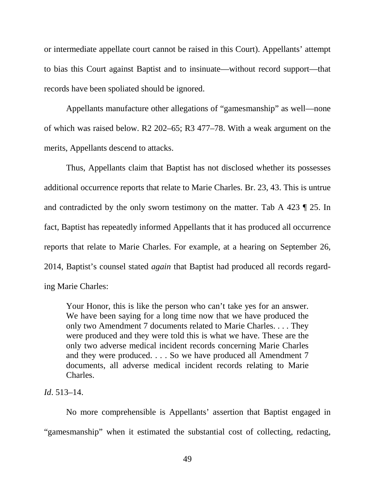or intermediate appellate court cannot be raised in this Court). Appellants' attempt to bias this Court against Baptist and to insinuate—without record support—that records have been spoliated should be ignored.

Appellants manufacture other allegations of "gamesmanship" as well—none of which was raised below. R2 202–65; R3 477–78. With a weak argument on the merits, Appellants descend to attacks.

Thus, Appellants claim that Baptist has not disclosed whether its possesses additional occurrence reports that relate to Marie Charles. Br. 23, 43. This is untrue and contradicted by the only sworn testimony on the matter. Tab A 423 ¶ 25. In fact, Baptist has repeatedly informed Appellants that it has produced all occurrence reports that relate to Marie Charles. For example, at a hearing on September 26, 2014, Baptist's counsel stated *again* that Baptist had produced all records regarding Marie Charles:

Your Honor, this is like the person who can't take yes for an answer. We have been saying for a long time now that we have produced the only two Amendment 7 documents related to Marie Charles. . . . They were produced and they were told this is what we have. These are the only two adverse medical incident records concerning Marie Charles and they were produced. . . . So we have produced all Amendment 7 documents, all adverse medical incident records relating to Marie Charles.

### *Id*. 513–14.

No more comprehensible is Appellants' assertion that Baptist engaged in "gamesmanship" when it estimated the substantial cost of collecting, redacting,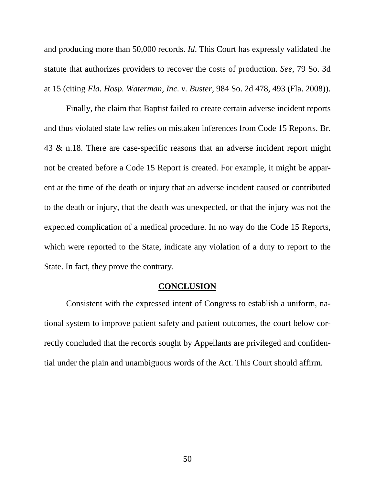and producing more than 50,000 records. *Id*. This Court has expressly validated the statute that authorizes providers to recover the costs of production. *See*, 79 So. 3d at 15 (citing *Fla. Hosp. Waterman*, *Inc. v. Buster*, 984 So. 2d 478, 493 (Fla. 2008)).

Finally, the claim that Baptist failed to create certain adverse incident reports and thus violated state law relies on mistaken inferences from Code 15 Reports. Br. 43 & n.18. There are case-specific reasons that an adverse incident report might not be created before a Code 15 Report is created. For example, it might be apparent at the time of the death or injury that an adverse incident caused or contributed to the death or injury, that the death was unexpected, or that the injury was not the expected complication of a medical procedure. In no way do the Code 15 Reports, which were reported to the State, indicate any violation of a duty to report to the State. In fact, they prove the contrary.

#### <span id="page-57-0"></span>**CONCLUSION**

Consistent with the expressed intent of Congress to establish a uniform, national system to improve patient safety and patient outcomes, the court below correctly concluded that the records sought by Appellants are privileged and confidential under the plain and unambiguous words of the Act. This Court should affirm.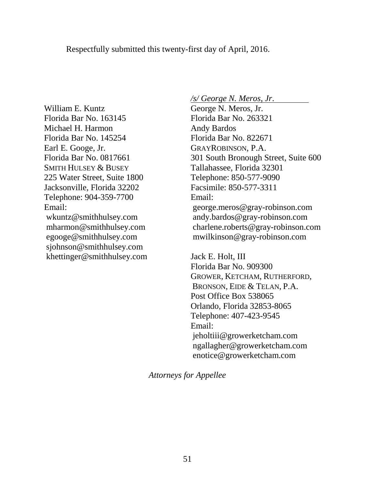William E. Kuntz Florida Bar No. 163145 Michael H. Harmon Florida Bar No. 145254 Earl E. Googe, Jr. Florida Bar No. 0817661 SMITH HULSEY & BUSEY 225 Water Street, Suite 1800 Jacksonville, Florida 32202 Telephone: 904-359-7700 Email: wkuntz@smithhulsey.com mharmon@smithhulsey.com egooge@smithhulsey.com sjohnson@smithhulsey.com khettinger@smithhulsey.com */s/ George N. Meros*, *Jr*.

George N. Meros, Jr. Florida Bar No. 263321 Andy Bardos Florida Bar No. 822671 GRAYROBINSON, P.A. 301 South Bronough Street, Suite 600 Tallahassee, Florida 32301 Telephone: 850-577-9090 Facsimile: 850-577-3311 Email: george.meros@gray-robinson.com andy.bardos@gray-robinson.com charlene.roberts@gray-robinson.com mwilkinson@gray-robinson.com

Jack E. Holt, III Florida Bar No. 909300 GROWER, KETCHAM, RUTHERFORD, BRONSON, EIDE & TELAN, P.A. Post Office Box 538065 Orlando, Florida 32853-8065 Telephone: 407-423-9545 Email: jeholtiii@growerketcham.com ngallagher@growerketcham.com enotice@growerketcham.com

*Attorneys for Appellee*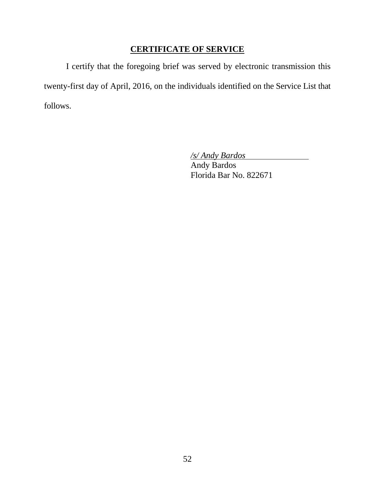# <span id="page-59-0"></span>**CERTIFICATE OF SERVICE**

I certify that the foregoing brief was served by electronic transmission this twenty-first day of April, 2016, on the individuals identified on the Service List that follows.

*/s/ Andy Bardos*

Andy Bardos Florida Bar No. 822671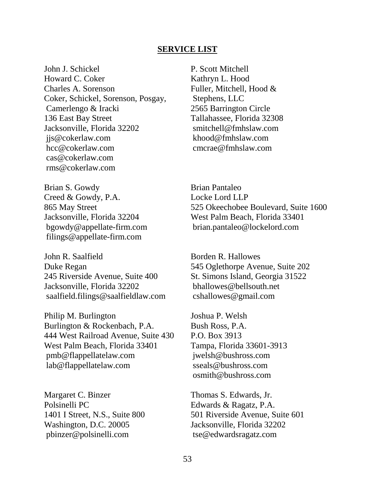#### **SERVICE LIST**

John J. Schickel Howard C. Coker Charles A. Sorenson Coker, Schickel, Sorenson, Posgay, Camerlengo & Iracki 136 East Bay Street Jacksonville, Florida 32202 jjs@cokerlaw.com hcc@cokerlaw.com cas@cokerlaw.com rms@cokerlaw.com

P. Scott Mitchell Kathryn L. Hood Fuller, Mitchell, Hood & Stephens, LLC 2565 Barrington Circle Tallahassee, Florida 32308 smitchell@fmhslaw.com khood@fmhslaw.com cmcrae@fmhslaw.com

Brian S. Gowdy Creed & Gowdy, P.A. 865 May Street Jacksonville, Florida 32204 bgowdy@appellate-firm.com filings@appellate-firm.com

John R. Saalfield Duke Regan 245 Riverside Avenue, Suite 400 Jacksonville, Florida 32202 saalfield.filings@saalfieldlaw.com

Philip M. Burlington Burlington & Rockenbach, P.A. 444 West Railroad Avenue, Suite 430 West Palm Beach, Florida 33401 pmb@flappellatelaw.com lab@flappellatelaw.com

Margaret C. Binzer Polsinelli PC 1401 I Street, N.S., Suite 800 Washington, D.C. 20005 pbinzer@polsinelli.com

Brian Pantaleo Locke Lord LLP 525 Okeechobee Boulevard, Suite 1600 West Palm Beach, Florida 33401 brian.pantaleo@lockelord.com

Borden R. Hallowes 545 Oglethorpe Avenue, Suite 202 St. Simons Island, Georgia 31522 bhallowes@bellsouth.net cshallowes@gmail.com

Joshua P. Welsh Bush Ross, P.A. P.O. Box 3913 Tampa, Florida 33601-3913 jwelsh@bushross.com sseals@bushross.com osmith@bushross.com

Thomas S. Edwards, Jr. Edwards & Ragatz, P.A. 501 Riverside Avenue, Suite 601 Jacksonville, Florida 32202 tse@edwardsragatz.com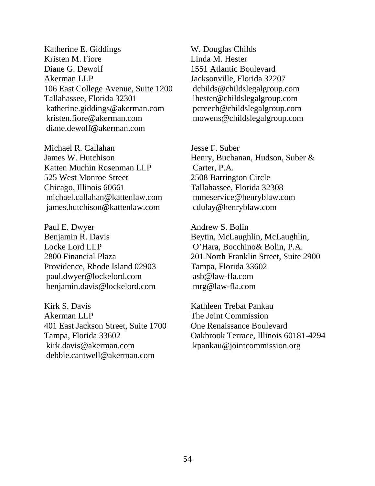Katherine E. Giddings Kristen M. Fiore Diane G. Dewolf Akerman LLP 106 East College Avenue, Suite 1200 Tallahassee, Florida 32301 katherine.giddings@akerman.com kristen.fiore@akerman.com diane.dewolf@akerman.com

Michael R. Callahan James W. Hutchison Katten Muchin Rosenman LLP 525 West Monroe Street Chicago, Illinois 60661 michael.callahan@kattenlaw.com james.hutchison@kattenlaw.com

Paul E. Dwyer Benjamin R. Davis Locke Lord LLP 2800 Financial Plaza Providence, Rhode Island 02903 paul.dwyer@lockelord.com benjamin.davis@lockelord.com

Kirk S. Davis Akerman LLP 401 East Jackson Street, Suite 1700 Tampa, Florida 33602 kirk.davis@akerman.com debbie.cantwell@akerman.com

W. Douglas Childs Linda M. Hester 1551 Atlantic Boulevard Jacksonville, Florida 32207 dchilds@childslegalgroup.com lhester@childslegalgroup.com pcreech@childslegalgroup.com mowens@childslegalgroup.com

Jesse F. Suber Henry, Buchanan, Hudson, Suber & Carter, P.A. 2508 Barrington Circle Tallahassee, Florida 32308 mmeservice@henryblaw.com cdulay@henryblaw.com

Andrew S. Bolin Beytin, McLaughlin, McLaughlin, O'Hara, Bocchino& Bolin, P.A. 201 North Franklin Street, Suite 2900 Tampa, Florida 33602 asb@law-fla.com mrg@law-fla.com

Kathleen Trebat Pankau The Joint Commission One Renaissance Boulevard Oakbrook Terrace, Illinois 60181-4294 kpankau@jointcommission.org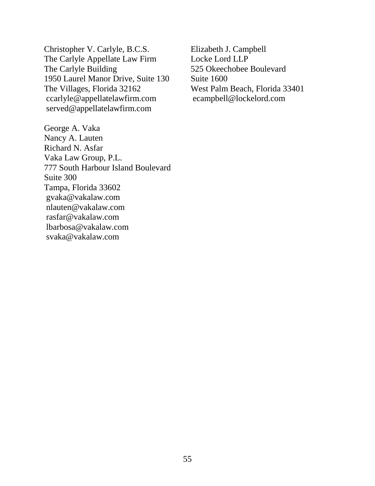Christopher V. Carlyle, B.C.S. The Carlyle Appellate Law Firm The Carlyle Building 1950 Laurel Manor Drive, Suite 130 The Villages, Florida 32162 ccarlyle@appellatelawfirm.com served@appellatelawfirm.com

George A. Vaka Nancy A. Lauten Richard N. Asfar Vaka Law Group, P.L. 777 South Harbour Island Boulevard Suite 300 Tampa, Florida 33602 gvaka@vakalaw.com nlauten@vakalaw.com rasfar@vakalaw.com lbarbosa@vakalaw.com svaka@vakalaw.com

Elizabeth J. Campbell Locke Lord LLP 525 Okeechobee Boulevard Suite 1600 West Palm Beach, Florida 33401 ecampbell@lockelord.com